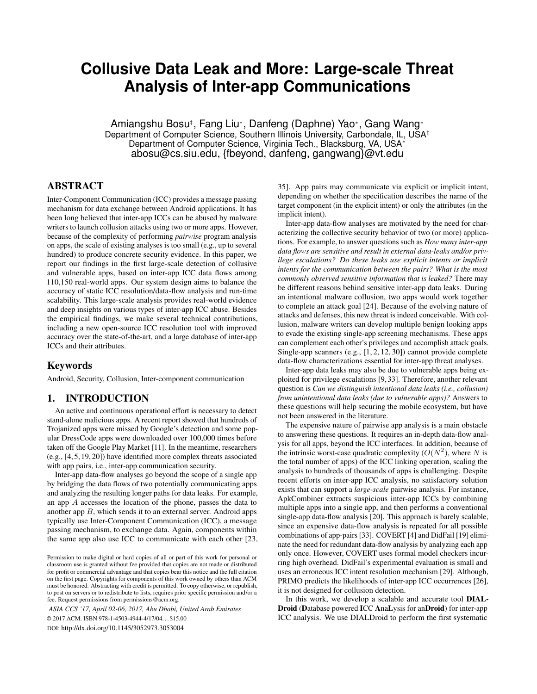# **Collusive Data Leak and More: Large-scale Threat Analysis of Inter-app Communications**

Amiangshu Bosu‡, Fang Liu\*, Danfeng (Daphne) Yao\*, Gang Wang\* Department of Computer Science, Southern Illinois University, Carbondale, IL, USA‡ Department of Computer Science, Virginia Tech., Blacksburg, VA, USA<sup>∗</sup> abosu@cs.siu.edu, {fbeyond, danfeng, gangwang}@vt.edu

# ABSTRACT

Inter-Component Communication (ICC) provides a message passing mechanism for data exchange between Android applications. It has been long believed that inter-app ICCs can be abused by malware writers to launch collusion attacks using two or more apps. However, because of the complexity of performing *pairwise* program analysis on apps, the scale of existing analyses is too small (e.g., up to several hundred) to produce concrete security evidence. In this paper, we report our findings in the first large-scale detection of collusive and vulnerable apps, based on inter-app ICC data flows among 110,150 real-world apps. Our system design aims to balance the accuracy of static ICC resolution/data-flow analysis and run-time scalability. This large-scale analysis provides real-world evidence and deep insights on various types of inter-app ICC abuse. Besides the empirical findings, we make several technical contributions, including a new open-source ICC resolution tool with improved accuracy over the state-of-the-art, and a large database of inter-app ICCs and their attributes.

# Keywords

Android, Security, Collusion, Inter-component communication

# 1. INTRODUCTION

An active and continuous operational effort is necessary to detect stand-alone malicious apps. A recent report showed that hundreds of Trojanized apps were missed by Google's detection and some popular DressCode apps were downloaded over 100,000 times before taken off the Google Play Market [11]. In the meantime, researchers (e.g., [4, 5, 19, 20]) have identified more complex threats associated with app pairs, i.e., inter-app communication security.

Inter-app data-flow analyses go beyond the scope of a single app by bridging the data flows of two potentially communicating apps and analyzing the resulting longer paths for data leaks. For example, an app A accesses the location of the phone, passes the data to another app B, which sends it to an external server. Android apps typically use Inter-Component Communication (ICC), a message passing mechanism, to exchange data. Again, components within the same app also use ICC to communicate with each other [23,

*ASIA CCS '17, April 02-06, 2017, Abu Dhabi, United Arab Emirates* © 2017 ACM. ISBN 978-1-4503-4944-4/17/04. . . \$15.00

DOI: http://dx.doi.org/10.1145/3052973.3053004

35]. App pairs may communicate via explicit or implicit intent, depending on whether the specification describes the name of the target component (in the explicit intent) or only the attributes (in the implicit intent).

Inter-app data-flow analyses are motivated by the need for characterizing the collective security behavior of two (or more) applications. For example, to answer questions such as *How many inter-app data flows are sensitive and result in external data-leaks and/or privilege escalations? Do these leaks use explicit intents or implicit intents for the communication between the pairs? What is the most commonly observed sensitive information that is leaked?* There may be different reasons behind sensitive inter-app data leaks. During an intentional malware collusion, two apps would work together to complete an attack goal [24]. Because of the evolving nature of attacks and defenses, this new threat is indeed conceivable. With collusion, malware writers can develop multiple benign looking apps to evade the existing single-app screening mechanisms. These apps can complement each other's privileges and accomplish attack goals. Single-app scanners (e.g., [1, 2, 12, 30]) cannot provide complete data-flow characterizations essential for inter-app threat analyses.

Inter-app data leaks may also be due to vulnerable apps being exploited for privilege escalations [9, 33]. Therefore, another relevant question is *Can we distinguish intentional data leaks (i.e., collusion) from unintentional data leaks (due to vulnerable apps)?* Answers to these questions will help securing the mobile ecosystem, but have not been answered in the literature.

The expensive nature of pairwise app analysis is a main obstacle to answering these questions. It requires an in-depth data-flow analysis for all apps, beyond the ICC interfaces. In addition, because of the intrinsic worst-case quadratic complexity  $(O(N^2))$ , where N is the total number of apps) of the ICC linking operation, scaling the analysis to hundreds of thousands of apps is challenging. Despite recent efforts on inter-app ICC analysis, no satisfactory solution exists that can support a *large-scale* pairwise analysis. For instance, ApkCombiner extracts suspicious inter-app ICCs by combining multiple apps into a single app, and then performs a conventional single-app data-flow analysis [20]. This approach is barely scalable, since an expensive data-flow analysis is repeated for all possible combinations of app-pairs [33]. COVERT [4] and DidFail [19] eliminate the need for redundant data-flow analysis by analyzing each app only once. However, COVERT uses formal model checkers incurring high overhead. DidFail's experimental evaluation is small and uses an erroneous ICC intent resolution mechanism [29]. Although, PRIMO predicts the likelihoods of inter-app ICC occurrences [26], it is not designed for collusion detection.

In this work, we develop a scalable and accurate tool DIAL-Droid (Database powered ICC AnaLysis for anDroid) for inter-app ICC analysis. We use DIALDroid to perform the first systematic

Permission to make digital or hard copies of all or part of this work for personal or classroom use is granted without fee provided that copies are not made or distributed for profit or commercial advantage and that copies bear this notice and the full citation on the first page. Copyrights for components of this work owned by others than ACM must be honored. Abstracting with credit is permitted. To copy otherwise, or republish, to post on servers or to redistribute to lists, requires prior specific permission and/or a fee. Request permissions from permissions@acm.org.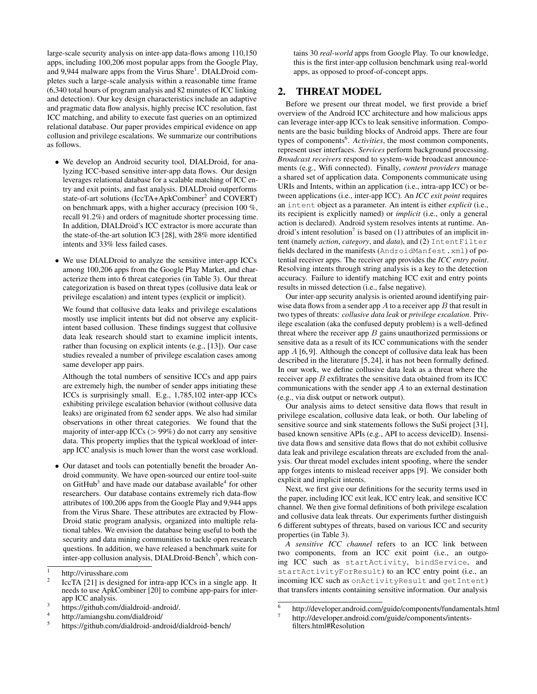large-scale security analysis on inter-app data-flows among 110,150 apps, including 100,206 most popular apps from the Google Play, and 9,944 malware apps from the Virus Share<sup>1</sup>. DIALDroid completes such a large-scale analysis within a reasonable time frame (6,340 total hours of program analysis and 82 minutes of ICC linking and detection). Our key design characteristics include an adaptive and pragmatic data flow analysis, highly precise ICC resolution, fast ICC matching, and ability to execute fast queries on an optimized relational database. Our paper provides empirical evidence on app collusion and privilege escalations. We summarize our contributions as follows.

- We develop an Android security tool, DIALDroid, for analyzing ICC-based sensitive inter-app data flows. Our design leverages relational database for a scalable matching of ICC entry and exit points, and fast analysis. DIALDroid outperforms state-of-art solutions (IccTA+ApkCombiner<sup>2</sup> and COVERT) on benchmark apps, with a higher accuracy (precision 100 %, recall 91.2%) and orders of magnitude shorter processing time. In addition, DIALDroid's ICC extractor is more accurate than the state-of-the-art solution IC3 [28], with 28% more identified intents and 33% less failed cases.
- We use DIALDroid to analyze the sensitive inter-app ICCs among 100,206 apps from the Google Play Market, and characterize them into 6 threat categories (in Table 3). Our threat categorization is based on threat types (collusive data leak or privilege escalation) and intent types (explicit or implicit).

We found that collusive data leaks and privilege escalations mostly use implicit intents but did not observe any explicitintent based collusion. These findings suggest that collusive data leak research should start to examine implicit intents, rather than focusing on explicit intents (e.g., [13]). Our case studies revealed a number of privilege escalation cases among same developer app pairs.

Although the total numbers of sensitive ICCs and app pairs are extremely high, the number of sender apps initiating these ICCs is surprisingly small. E.g., 1,785,102 inter-app ICCs exhibiting privilege escalation behavior (without collusive data leaks) are originated from 62 sender apps. We also had similar observations in other threat categories. We found that the majority of inter-app ICCs  $(> 99\%)$  do not carry any sensitive data. This property implies that the typical workload of interapp ICC analysis is much lower than the worst case workload.

• Our dataset and tools can potentially benefit the broader Android community. We have open-sourced our entire tool-suite on GitHub<sup>3</sup> and have made our database available<sup>4</sup> for other researchers. Our database contains extremely rich data-flow attributes of 100,206 apps from the Google Play and 9,944 apps from the Virus Share. These attributes are extracted by Flow-Droid static program analysis, organized into multiple relational tables. We envision the database being useful to both the security and data mining communities to tackle open research questions. In addition, we have released a benchmark suite for inter-app collusion analysis, DIALDroid-Bench<sup>5</sup>, which contains 30 *real-world* apps from Google Play. To our knowledge, this is the first inter-app collusion benchmark using real-world apps, as opposed to proof-of-concept apps.

# 2. THREAT MODEL

Before we present our threat model, we first provide a brief overview of the Android ICC architecture and how malicious apps can leverage inter-app ICCs to leak sensitive information. Components are the basic building blocks of Android apps. There are four types of components<sup>6</sup>. Activities, the most common components, represent user interfaces. *Services* perform background processing. *Broadcast receivers* respond to system-wide broadcast announcements (e.g., Wifi connected). Finally, *content providers* manage a shared set of application data. Components communicate using URIs and Intents, within an application (i.e., intra-app ICC) or between applications (i.e., inter-app ICC). An *ICC exit point* requires an intent object as a parameter. An intent is either *explicit* (i.e., its recipient is explicitly named) or *implicit* (i.e., only a general action is declared). Android system resolves intents at runtime. Android's intent resolution<sup>7</sup> is based on (1) attributes of an implicit intent (namely *action*, *category*, and *data*), and (2) IntentFilter fields declared in the manifests (AndroidManfest.xml) of potential receiver apps. The receiver app provides the *ICC entry point*. Resolving intents through string analysis is a key to the detection accuracy. Failure to identify matching ICC exit and entry points results in missed detection (i.e., false negative).

Our inter-app security analysis is oriented around identifying pairwise data flows from a sender app  $A$  to a receiver app  $B$  that result in two types of threats: *collusive data leak* or *privilege escalation*. Privilege escalation (aka the confused deputy problem) is a well-defined threat where the receiver app  $B$  gains unauthorized permissions or sensitive data as a result of its ICC communications with the sender app  $A$  [6,9]. Although the concept of collusive data leak has been described in the literature [5, 24], it has not been formally defined. In our work, we define collusive data leak as a threat where the receiver app B exfiltrates the sensitive data obtained from its ICC communications with the sender app A to an external destination (e.g., via disk output or network output).

Our analysis aims to detect sensitive data flows that result in privilege escalation, collusive data leak, or both. Our labeling of sensitive source and sink statements follows the SuSi project [31], based known sensitive APIs (e.g., API to access deviceID). Insensitive data flows and sensitive data flows that do not exhibit collusive data leak and privilege escalation threats are excluded from the analysis. Our threat model excludes intent spoofing, where the sender app forges intents to mislead receiver apps [9]. We consider both explicit and implicit intents.

Next, we first give our definitions for the security terms used in the paper, including ICC exit leak, ICC entry leak, and sensitive ICC channel. We then give formal definitions of both privilege escalation and collusive data leak threats. Our experiments further distinguish 6 different subtypes of threats, based on various ICC and security properties (in Table 3).

*A sensitive ICC channel* refers to an ICC link between two components, from an ICC exit point (i.e., an outgoing ICC such as startActivity, bindService, and startActivityForResult) to an ICC entry point (i.e., an incoming ICC such as onActivityResult and getIntent) that transfers intents containing sensitive information. Our analysis

<sup>1</sup> http://virusshare.com

<sup>2</sup> IccTA [21] is designed for intra-app ICCs in a single app. It needs to use ApkCombiner [20] to combine app-pairs for interapp ICC analysis.

<sup>3</sup> https://github.com/dialdroid-android/.

<sup>4</sup> http://amiangshu.com/dialdroid/

<sup>5</sup> https://github.com/dialdroid-android/dialdroid-bench/

<sup>6</sup> http://developer.android.com/guide/components/fundamentals.html 7

http://developer.android.com/guide/components/intentsfilters.html#Resolution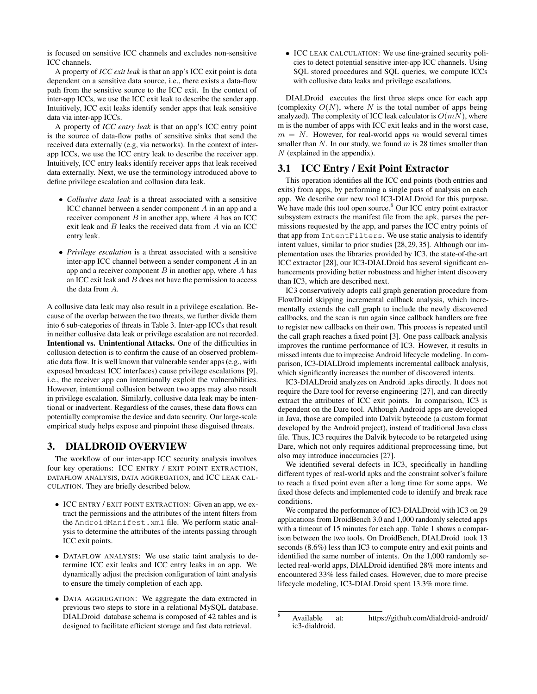is focused on sensitive ICC channels and excludes non-sensitive ICC channels.

A property of *ICC exit leak* is that an app's ICC exit point is data dependent on a sensitive data source, i.e., there exists a data-flow path from the sensitive source to the ICC exit. In the context of inter-app ICCs, we use the ICC exit leak to describe the sender app. Intuitively, ICC exit leaks identify sender apps that leak sensitive data via inter-app ICCs.

A property of *ICC entry leak* is that an app's ICC entry point is the source of data-flow paths of sensitive sinks that send the received data externally (e.g, via networks). In the context of interapp ICCs, we use the ICC entry leak to describe the receiver app. Intuitively, ICC entry leaks identify receiver apps that leak received data externally. Next, we use the terminology introduced above to define privilege escalation and collusion data leak.

- *Collusive data leak* is a threat associated with a sensitive ICC channel between a sender component A in an app and a receiver component  $B$  in another app, where  $A$  has an ICC exit leak and B leaks the received data from A via an ICC entry leak.
- *Privilege escalation* is a threat associated with a sensitive inter-app ICC channel between a sender component A in an app and a receiver component  $B$  in another app, where  $A$  has an ICC exit leak and  $B$  does not have the permission to access the data from A.

A collusive data leak may also result in a privilege escalation. Because of the overlap between the two threats, we further divide them into 6 sub-categories of threats in Table 3. Inter-app ICCs that result in neither collusive data leak or privilege escalation are not recorded. Intentional vs. Unintentional Attacks. One of the difficulties in collusion detection is to confirm the cause of an observed problematic data flow. It is well known that vulnerable sender apps (e.g., with exposed broadcast ICC interfaces) cause privilege escalations [9], i.e., the receiver app can intentionally exploit the vulnerabilities. However, intentional collusion between two apps may also result in privilege escalation. Similarly, collusive data leak may be intentional or inadvertent. Regardless of the causes, these data flows can potentially compromise the device and data security. Our large-scale empirical study helps expose and pinpoint these disguised threats.

# 3. DIALDROID OVERVIEW

The workflow of our inter-app ICC security analysis involves four key operations: ICC ENTRY / EXIT POINT EXTRACTION, DATAFLOW ANALYSIS, DATA AGGREGATION, and ICC LEAK CAL-CULATION. They are briefly described below.

- ICC ENTRY / EXIT POINT EXTRACTION: Given an app, we extract the permissions and the attributes of the intent filters from the AndroidManifest.xml file. We perform static analysis to determine the attributes of the intents passing through ICC exit points.
- DATAFLOW ANALYSIS: We use static taint analysis to determine ICC exit leaks and ICC entry leaks in an app. We dynamically adjust the precision configuration of taint analysis to ensure the timely completion of each app.
- DATA AGGREGATION: We aggregate the data extracted in previous two steps to store in a relational MySQL database. DIALDroid database schema is composed of 42 tables and is designed to facilitate efficient storage and fast data retrieval.

• ICC LEAK CALCULATION: We use fine-grained security policies to detect potential sensitive inter-app ICC channels. Using SQL stored procedures and SQL queries, we compute ICCs with collusive data leaks and privilege escalations.

DIALDroid executes the first three steps once for each app (complexity  $O(N)$ , where N is the total number of apps being analyzed). The complexity of ICC leak calculator is  $O(mN)$ , where m is the number of apps with ICC exit leaks and in the worst case,  $m = N$ . However, for real-world apps m would several times smaller than  $N$ . In our study, we found  $m$  is 28 times smaller than  $N$  (explained in the appendix).

# 3.1 ICC Entry / Exit Point Extractor

This operation identifies all the ICC end points (both entries and exits) from apps, by performing a single pass of analysis on each app. We describe our new tool IC3-DIALDroid for this purpose. We have made this tool open source.<sup>8</sup> Our ICC entry point extractor subsystem extracts the manifest file from the apk, parses the permissions requested by the app, and parses the ICC entry points of that app from IntentFilters. We use static analysis to identify intent values, similar to prior studies [28, 29, 35]. Although our implementation uses the libraries provided by IC3, the state-of-the-art ICC extractor [28], our IC3-DIALDroid has several significant enhancements providing better robustness and higher intent discovery than IC3, which are described next.

IC3 conservatively adopts call graph generation procedure from FlowDroid skipping incremental callback analysis, which incrementally extends the call graph to include the newly discovered callbacks, and the scan is run again since callback handlers are free to register new callbacks on their own. This process is repeated until the call graph reaches a fixed point [3]. One pass callback analysis improves the runtime performance of IC3. However, it results in missed intents due to imprecise Android lifecycle modeling. In comparison, IC3-DIALDroid implements incremental callback analysis, which significantly increases the number of discovered intents.

IC3-DIALDroid analyzes on Android .apks directly. It does not require the Dare tool for reverse engineering [27], and can directly extract the attributes of ICC exit points. In comparison, IC3 is dependent on the Dare tool. Although Android apps are developed in Java, those are compiled into Dalvik bytecode (a custom format developed by the Android project), instead of traditional Java class file. Thus, IC3 requires the Dalvik bytecode to be retargeted using Dare, which not only requires additional preprocessing time, but also may introduce inaccuracies [27].

We identified several defects in IC3, specifically in handling different types of real-world apks and the constraint solver's failure to reach a fixed point even after a long time for some apps. We fixed those defects and implemented code to identify and break race conditions.

We compared the performance of IC3-DIALDroid with IC3 on 29 applications from DroidBench 3.0 and 1,000 randomly selected apps with a timeout of 15 minutes for each app. Table 1 shows a comparison between the two tools. On DroidBench, DIALDroid took 13 seconds (8.6%) less than IC3 to compute entry and exit points and identified the same number of intents. On the 1,000 randomly selected real-world apps, DIALDroid identified 28% more intents and encountered 33% less failed cases. However, due to more precise lifecycle modeling, IC3-DIALDroid spent 13.3% more time.

<sup>8</sup> Available at: https://github.com/dialdroid-android/ ic3-dialdroid.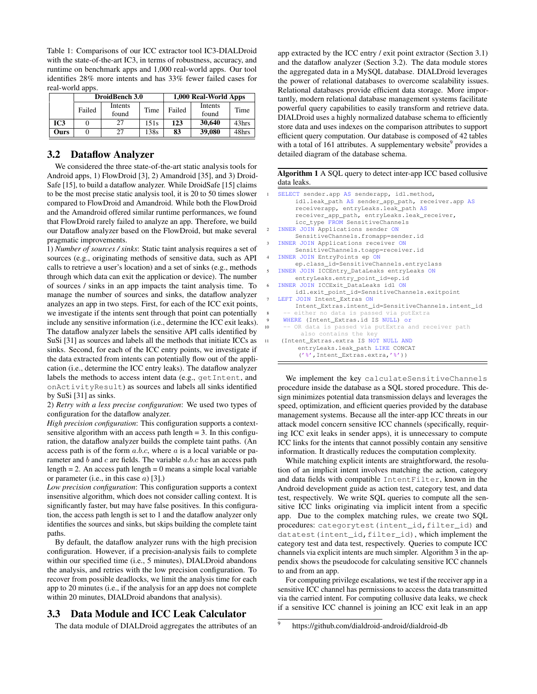Table 1: Comparisons of our ICC extractor tool IC3-DIALDroid with the state-of-the-art IC3, in terms of robustness, accuracy, and runtime on benchmark apps and 1,000 real-world apps. Our tool identifies 28% more intents and has 33% fewer failed cases for real-world apps.

|             |        | DroidBench 3.0 |      | 1,000 Real-World Apps |         |       |  |
|-------------|--------|----------------|------|-----------------------|---------|-------|--|
|             | Failed | Intents        | Time | Failed                | Intents | Time  |  |
|             |        | found          |      |                       | found   |       |  |
| IC3         |        | 27             | 151s | 123                   | 30,640  | 43hrs |  |
| <b>Ours</b> |        | 27             | 138s | 83                    | 39,080  | 48hrs |  |

#### 3.2 Dataflow Analyzer

We considered the three state-of-the-art static analysis tools for Android apps, 1) FlowDroid [3], 2) Amandroid [35], and 3) Droid-Safe [15], to build a dataflow analyzer. While DroidSafe [15] claims to be the most precise static analysis tool, it is 20 to 50 times slower compared to FlowDroid and Amandroid. While both the FlowDroid and the Amandroid offered similar runtime performances, we found that FlowDroid rarely failed to analyze an app. Therefore, we build our Dataflow analyzer based on the FlowDroid, but make several pragmatic improvements.

1) *Number of sources / sinks*: Static taint analysis requires a set of sources (e.g., originating methods of sensitive data, such as API calls to retrieve a user's location) and a set of sinks (e.g., methods through which data can exit the application or device). The number of sources / sinks in an app impacts the taint analysis time. To manage the number of sources and sinks, the dataflow analyzer analyzes an app in two steps. First, for each of the ICC exit points, we investigate if the intents sent through that point can potentially include any sensitive information (i.e., determine the ICC exit leaks). The dataflow analyzer labels the sensitive API calls identified by SuSi [31] as sources and labels all the methods that initiate ICCs as sinks. Second, for each of the ICC entry points, we investigate if the data extracted from intents can potentially flow out of the application (i.e., determine the ICC entry leaks). The dataflow analyzer labels the methods to access intent data (e.g., getIntent, and onActivityResult) as sources and labels all sinks identified by SuSi [31] as sinks.

2) *Retry with a less precise configuration*: We used two types of configuration for the dataflow analyzer.

*High precision configuration*: This configuration supports a contextsensitive algorithm with an access path length  $= 3$ . In this configuration, the dataflow analyzer builds the complete taint paths. (An access path is of the form  $a.b.c$ , where  $a$  is a local variable or parameter and  $b$  and  $c$  are fields. The variable  $a.b.c$  has an access path length  $= 2$ . An access path length  $= 0$  means a simple local variable or parameter (i.e., in this case  $a$ ) [3].)

*Low precision configuration*: This configuration supports a context insensitive algorithm, which does not consider calling context. It is significantly faster, but may have false positives. In this configuration, the access path length is set to 1 and the dataflow analyzer only identifies the sources and sinks, but skips building the complete taint paths.

By default, the dataflow analyzer runs with the high precision configuration. However, if a precision-analysis fails to complete within our specified time (i.e., 5 minutes), DIALDroid abandons the analysis, and retries with the low precision configuration. To recover from possible deadlocks, we limit the analysis time for each app to 20 minutes (i.e., if the analysis for an app does not complete within 20 minutes, DIALDroid abandons that analysis).

# 3.3 Data Module and ICC Leak Calculator

The data module of DIALDroid aggregates the attributes of an

app extracted by the ICC entry / exit point extractor (Section 3.1) and the dataflow analyzer (Section 3.2). The data module stores the aggregated data in a MySQL database. DIALDroid leverages the power of relational databases to overcome scalability issues. Relational databases provide efficient data storage. More importantly, modern relational database management systems facilitate powerful query capabilities to easily transform and retrieve data. DIALDroid uses a highly normalized database schema to efficiently store data and uses indexes on the comparison attributes to support efficient query computation. Our database is composed of 42 tables with a total of 161 attributes. A supplementary website<sup>9</sup> provides a detailed diagram of the database schema.

Algorithm 1 A SQL query to detect inter-app ICC based collusive data leaks.

```
SELECT sender.app AS senderapp, idl.method,
        idl.leak_path AS sender_app_path, receiver.app AS
        receiverapp, entryLeaks.leak_path AS
        receiver_app_path, entryLeaks.leak_receiver,
        icc_type FROM SensitiveChannels
2 INNER JOIN Applications sender ON
        SensitiveChannels.fromapp=sender.id
   INNER JOIN Applications receiver ON
        SensitiveChannels.toapp=receiver.id
   INNER JOIN EntryPoints ep ON
        ep.class_id=SensitiveChannels.entryclass
   5 INNER JOIN ICCEntry_DataLeaks entryLeaks ON
        entryLeaks.entry_point_id=ep.id
6 INNER JOIN ICCExit_DataLeaks idl ON
        idl.exit_point_id=SensitiveChannels.exitpoint
   LEFT JOIN Intent Extras ON
        Intent_Extras.intent_id=SensitiveChannels.intent_id
       either no data is passed via putExtra
     WHERE (Intent_Extras.id IS NULL) or
10 -- OR data is passed via putExtra and receiver path
         also contains the key
11 (Intent_Extras.extra IS NOT NULL AND
         entryLeaks.leak_path LIKE CONCAT
         ('%',Intent_Extras.extra,'%'))
```
We implement the key calculateSensitiveChannels procedure inside the database as a SQL stored procedure. This design minimizes potential data transmission delays and leverages the speed, optimization, and efficient queries provided by the database management systems. Because all the inter-app ICC threats in our attack model concern sensitive ICC channels (specifically, requiring ICC exit leaks in sender apps), it is unnecessary to compute ICC links for the intents that cannot possibly contain any sensitive information. It drastically reduces the computation complexity.

While matching explicit intents are straightforward, the resolution of an implicit intent involves matching the action, category and data fields with compatible IntentFilter, known in the Android development guide as action test, category test, and data test, respectively. We write SQL queries to compute all the sensitive ICC links originating via implicit intent from a specific app. Due to the complex matching rules, we create two SQL procedures: categorytest(intent\_id,filter\_id) and datatest(intent\_id,filter\_id), which implement the category test and data test, respectively. Queries to compute ICC channels via explicit intents are much simpler. Algorithm 3 in the appendix shows the pseudocode for calculating sensitive ICC channels to and from an app.

For computing privilege escalations, we test if the receiver app in a sensitive ICC channel has permissions to access the data transmitted via the carried intent. For computing collusive data leaks, we check if a sensitive ICC channel is joining an ICC exit leak in an app

<sup>9</sup> https://github.com/dialdroid-android/dialdroid-db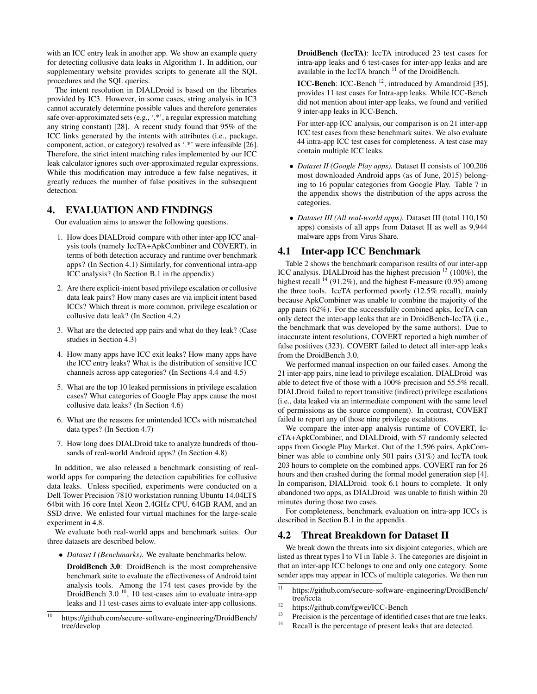with an ICC entry leak in another app. We show an example query for detecting collusive data leaks in Algorithm 1. In addition, our supplementary website provides scripts to generate all the SQL procedures and the SQL queries.

The intent resolution in DIALDroid is based on the libraries provided by IC3. However, in some cases, string analysis in IC3 cannot accurately determine possible values and therefore generates safe over-approximated sets (e.g., '.\*', a regular expression matching any string constant) [28]. A recent study found that 95% of the ICC links generated by the intents with attributes (i.e., package, component, action, or category) resolved as '.\*' were infeasible [26]. Therefore, the strict intent matching rules implemented by our ICC leak calculator ignores such over-approximated regular expressions. While this modification may introduce a few false negatives, it greatly reduces the number of false positives in the subsequent detection.

# 4. EVALUATION AND FINDINGS

Our evaluation aims to answer the following questions.

- 1. How does DIALDroid compare with other inter-app ICC analysis tools (namely IccTA+ApkCombiner and COVERT), in terms of both detection accuracy and runtime over benchmark apps? (In Section 4.1) Similarly, for conventional intra-app ICC analysis? (In Section B.1 in the appendix)
- 2. Are there explicit-intent based privilege escalation or collusive data leak pairs? How many cases are via implicit intent based ICCs? Which threat is more common, privilege escalation or collusive data leak? (In Section 4.2)
- 3. What are the detected app pairs and what do they leak? (Case studies in Section 4.3)
- 4. How many apps have ICC exit leaks? How many apps have the ICC entry leaks? What is the distribution of sensitive ICC channels across app categories? (In Sections 4.4 and 4.5)
- 5. What are the top 10 leaked permissions in privilege escalation cases? What categories of Google Play apps cause the most collusive data leaks? (In Section 4.6)
- 6. What are the reasons for unintended ICCs with mismatched data types? (In Section 4.7)
- 7. How long does DIALDroid take to analyze hundreds of thousands of real-world Android apps? (In Section 4.8)

In addition, we also released a benchmark consisting of realworld apps for comparing the detection capabilities for collusive data leaks. Unless specified, experiments were conducted on a Dell Tower Precision 7810 workstation running Ubuntu 14.04LTS 64bit with 16 core Intel Xeon 2.4GHz CPU, 64GB RAM, and an SSD drive. We enlisted four virtual machines for the large-scale experiment in 4.8.

We evaluate both real-world apps and benchmark suites. Our three datasets are described below.

• *Dataset I (Benchmarks).* We evaluate benchmarks below.

DroidBench 3.0: DroidBench is the most comprehensive benchmark suite to evaluate the effectiveness of Android taint analysis tools. Among the 174 test cases provide by the DroidBench 3.0 $^{10}$ , 10 test-cases aim to evaluate intra-app leaks and 11 test-cases aims to evaluate inter-app collusions.

DroidBench (IccTA): IccTA introduced 23 test cases for intra-app leaks and 6 test-cases for inter-app leaks and are available in the IccTA branch <sup>11</sup> of the DroidBench.

ICC-Bench: ICC-Bench<sup>12</sup>, introduced by Amandroid [35], provides 11 test cases for Intra-app leaks. While ICC-Bench did not mention about inter-app leaks, we found and verified 9 inter-app leaks in ICC-Bench.

For inter-app ICC analysis, our comparison is on 21 inter-app ICC test cases from these benchmark suites. We also evaluate 44 intra-app ICC test cases for completeness. A test case may contain multiple ICC leaks.

- *Dataset II (Google Play apps).* Dataset II consists of 100,206 most downloaded Android apps (as of June, 2015) belonging to 16 popular categories from Google Play. Table 7 in the appendix shows the distribution of the apps across the categories.
- *Dataset III (All real-world apps).* Dataset III (total 110,150 apps) consists of all apps from Dataset II as well as 9,944 malware apps from Virus Share.

## 4.1 Inter-app ICC Benchmark

Table 2 shows the benchmark comparison results of our inter-app ICC analysis. DIALDroid has the highest precision  $^{13}$  (100%), the highest recall  $^{14}$  (91.2%), and the highest F-measure (0.95) among the three tools. IccTA performed poorly (12.5% recall), mainly because ApkCombiner was unable to combine the majority of the app pairs (62%). For the successfully combined apks, IccTA can only detect the inter-app leaks that are in DroidBench-IccTA (i.e., the benchmark that was developed by the same authors). Due to inaccurate intent resolutions, COVERT reported a high number of false positives (323). COVERT failed to detect all inter-app leaks from the DroidBench 3.0.

We performed manual inspection on our failed cases. Among the 21 inter-app pairs, nine lead to privilege escalation. DIALDroid was able to detect five of those with a 100% precision and 55.5% recall. DIALDroid failed to report transitive (indirect) privilege escalations (i.e., data leaked via an intermediate component with the same level of permissions as the source component). In contrast, COVERT failed to report any of those nine privilege escalations.

We compare the inter-app analysis runtime of COVERT, IccTA+ApkCombiner, and DIALDroid, with 57 randomly selected apps from Google Play Market. Out of the 1,596 pairs, ApkCombiner was able to combine only 501 pairs (31%) and IccTA took 203 hours to complete on the combined apps. COVERT ran for 26 hours and then crashed during the formal model generation step [4]. In comparison, DIALDroid took 6.1 hours to complete. It only abandoned two apps, as DIALDroid was unable to finish within 20 minutes during those two cases.

For completeness, benchmark evaluation on intra-app ICCs is described in Section B.1 in the appendix.

#### 4.2 Threat Breakdown for Dataset II

We break down the threats into six disjoint categories, which are listed as threat types I to VI in Table 3. The categories are disjoint in that an inter-app ICC belongs to one and only one category. Some sender apps may appear in ICCs of multiple categories. We then run

- <sup>12</sup> https://github.com/fgwei/ICC-Bench<br><sup>13</sup> Procession is the nanomtoge of identifies
- $13$  Precision is the percentage of identified cases that are true leaks.
- Recall is the percentage of present leaks that are detected.

<sup>10</sup> https://github.com/secure-software-engineering/DroidBench/ tree/develop

 $\frac{11}{11}$  https://github.com/secure-software-engineering/DroidBench/ tree/iccta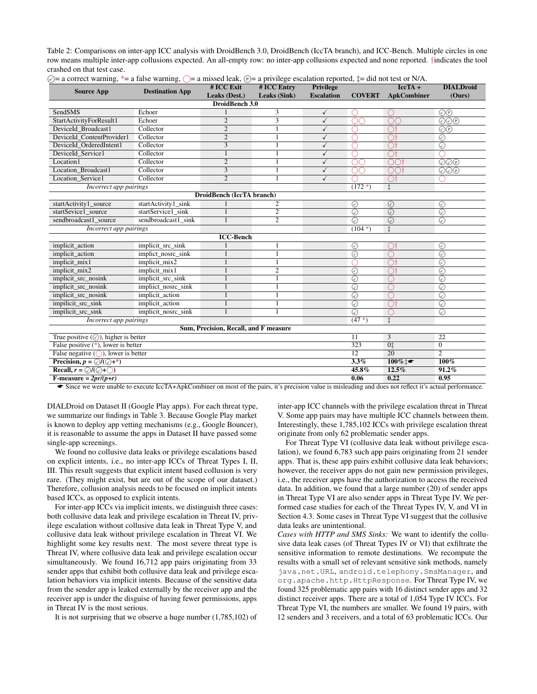Table 2: Comparisons on inter-app ICC analysis with DroidBench 3.0, DroidBench (IccTA branch), and ICC-Bench. Multiple circles in one row means multiple inter-app collusions expected. An all-empty row: no inter-app collusions expected and none reported. †indicates the tool crashed on that test case.

| <b>Source App</b>                                    | <b>Destination App</b>     | # ICC Exit                            | # ICC Entry    | <b>Privilege</b>  |                    | $\overline{\text{IccTA}}$ + | <b>DIALDroid</b>                                   |  |
|------------------------------------------------------|----------------------------|---------------------------------------|----------------|-------------------|--------------------|-----------------------------|----------------------------------------------------|--|
|                                                      |                            | Leaks (Dest.)                         | Leaks (Sink)   | <b>Escalation</b> | <b>COVERT</b>      | <b>ApkCombiner</b>          | (Ours)                                             |  |
| DroidBench 3.0                                       |                            |                                       |                |                   |                    |                             |                                                    |  |
| <b>SendSMS</b>                                       | Echoer                     |                                       | 3              | ✓                 | ( )                | ()                          | $\mathcal{O}(P)$                                   |  |
| StartActivityForResult1                              | Echoer                     | $\overline{2}$                        | 3              | $\checkmark$      | OO                 | nn                          | $\overline{\bigcirc\bigcirc\bigcirc}$              |  |
| DeviceId_Broadcast1                                  | Collector                  | $\overline{2}$                        |                | ✓                 | ∩                  | $\bigcirc$ t                | $\bigodot(\mathbf{P})$                             |  |
| DeviceId ContentProvider1                            | Collector                  | $\overline{2}$                        |                | ✓                 | ∩                  | Οt                          | ⊘                                                  |  |
| DeviceId OrderedIntent1                              | Collector                  | 3                                     |                | $\checkmark$      | ∩                  | ∩t                          | $\circledcirc$                                     |  |
| DeviceId_Service1                                    | Collector                  | $\mathbf{1}$                          |                | ✓                 | ∩                  | $\overline{\bigcirc}$ t     |                                                    |  |
| Location1                                            | Collector                  | $\overline{c}$                        | 1              | $\checkmark$      |                    | ∩∩t                         | $\overline{\textcircled{\odot}\textcirc}$          |  |
| Location Broadcast1                                  | Collector                  | 3                                     |                | $\checkmark$      | ΩŌ                 | <b>OOt</b>                  | $\textcircled{\odot} \textcircled{\scriptsize{P}}$ |  |
| Location_Service1                                    | Collector                  | 2                                     |                | $\checkmark$      |                    | $\bigcap$                   |                                                    |  |
| Incorrect app pairings                               |                            |                                       |                |                   | $(172*)$           | $\overline{\ddagger}$       |                                                    |  |
|                                                      |                            | DroidBench (IccTA branch)             |                |                   |                    |                             |                                                    |  |
| startActivity1_source                                | startActivity1_sink        |                                       | 2              |                   | $\odot$            | $\odot$                     | ⊘                                                  |  |
| startSevice1_source                                  | startService1_sink         |                                       | $\overline{2}$ |                   | $\overline{\odot}$ | $\overline{\odot}$          | $\overline{\odot}$                                 |  |
| sendbroadcast1 source                                | sendbroadcast1_sink        | 1                                     | $\overline{2}$ |                   | $\overline{\odot}$ | $\overline{\odot}$          | $\overline{\odot}$                                 |  |
| Incorrect app pairings                               |                            |                                       |                |                   | $(104*)$           | $\ddagger$                  |                                                    |  |
|                                                      |                            | <b>ICC-Bench</b>                      |                |                   |                    |                             |                                                    |  |
| implicit_action                                      | implicit_src_sink          |                                       |                |                   | $\odot$            | $\bigcirc$ t                | $\odot$                                            |  |
| implicit_action                                      | implict_nosrc_sink         |                                       | 1              |                   | $\odot$            | $\bigcap$                   | $\odot$                                            |  |
| implicit_mix1                                        | implicit_mix2              |                                       |                |                   | ∩                  | ੇ।                          | $\odot$                                            |  |
| implicit_mix2                                        | implicit_mix1              |                                       | $\overline{2}$ |                   | $\overline{\odot}$ | ੋ।                          | $\odot$                                            |  |
| implicit_src_nosink                                  | implicit_src_sink          | $\mathbf{1}$                          | 1              |                   | $\overline{\odot}$ |                             | $\overline{\odot}$                                 |  |
| implicit_src_nosink                                  | impliict_nosrc_sink        | 1                                     |                |                   | $\overline{\odot}$ |                             | $\overline{\odot}$                                 |  |
| implicit_src_nosink                                  | implicit_action            |                                       |                |                   | $\overline{\odot}$ | ∩                           | $\overline{\odot}$                                 |  |
| impilicit_src_sink                                   | implicit_action            |                                       |                |                   | $\overline{\odot}$ | O.                          | $\overline{\odot}$                                 |  |
| impilicit src sink                                   | implicit nosre sink        |                                       |                |                   | $\overline{\odot}$ |                             | $\odot$                                            |  |
| Incorrect app pairings                               |                            |                                       |                |                   | $(47*)$            | $\ddagger$                  |                                                    |  |
|                                                      |                            | Sum, Precision, Recall, and F measure |                |                   |                    |                             |                                                    |  |
| True positive $(\heartsuit)$ , higher is better      |                            |                                       |                |                   | 11                 | 3                           | 22                                                 |  |
| False positive $(*)$ , lower is better               |                            |                                       |                |                   |                    | 0 <sup>†</sup>              | $\Omega$                                           |  |
| False negative $(\bigcap)$ , lower is better         |                            |                                       |                |                   |                    | 20                          | $\overline{2}$                                     |  |
| <b>Precision, </b> $p = \mathcal{O}/(\mathcal{O}+*)$ |                            |                                       |                |                   | 3.3%               | $100\%$ t                   | $100\%$                                            |  |
| Recall, $r = \mathcal{O}/(\mathcal{O}+\mathcal{O})$  | 45.8%<br>12.5%<br>$91.2\%$ |                                       |                |                   |                    |                             |                                                    |  |
| F-measure = $2pr/(p+r)$                              |                            |                                       |                |                   |                    | 0.22                        | 0.95                                               |  |

 $\odot$  = a correct warning, \*= a false warning,  $\odot$  = a missed leak,  $\odot$  = a privilege escalation reported,  $\ddot{a}$  = did not test or N/A.

■ Since we were unable to execute IccTA+ApkCombiner on most of the pairs, it's precision value is misleading and does not reflect it's actual performance.

DIALDroid on Dataset II (Google Play apps). For each threat type, we summarize our findings in Table 3. Because Google Play market is known to deploy app vetting mechanisms (e.g., Google Bouncer), it is reasonable to assume the apps in Dataset II have passed some single-app screenings.

We found no collusive data leaks or privilege escalations based on explicit intents, i.e., no inter-app ICCs of Threat Types I, II, III. This result suggests that explicit intent based collusion is very rare. (They might exist, but are out of the scope of our dataset.) Therefore, collusion analysis needs to be focused on implicit intents based ICCs, as opposed to explicit intents.

For inter-app ICCs via implicit intents, we distinguish three cases: both collusive data leak and privilege escalation in Threat IV, privilege escalation without collusive data leak in Threat Type V, and collusive data leak without privilege escalation in Threat VI. We highlight some key results next. The most severe threat type is Threat IV, where collusive data leak and privilege escalation occur simultaneously. We found 16,712 app pairs originating from 33 sender apps that exhibit both collusive data leak and privilege escalation behaviors via implicit intents. Because of the sensitive data from the sender app is leaked externally by the receiver app and the receiver app is under the disguise of having fewer permissions, apps in Threat IV is the most serious.

It is not surprising that we observe a huge number (1,785,102) of

inter-app ICC channels with the privilege escalation threat in Threat V. Some app pairs may have multiple ICC channels between them. Interestingly, these 1,785,102 ICCs with privilege escalation threat originate from only 62 problematic sender apps.

For Threat Type VI (collusive data leak without privilege escalation), we found 6,783 such app pairs originating from 21 sender apps. That is, these app pairs exhibit collusive data leak behaviors; however, the receiver apps do not gain new permission privileges, i.e., the receiver apps have the authorization to access the received data. In addition, we found that a large number (20) of sender apps in Threat Type VI are also sender apps in Threat Type IV. We performed case studies for each of the Threat Types IV, V, and VI in Section 4.3. Some cases in Threat Type VI suggest that the collusive data leaks are unintentional.

*Cases with HTTP and SMS Sinks:* We want to identify the collusive data leak cases (of Threat Types IV or VI) that exfiltrate the sensitive information to remote destinations. We recompute the results with a small set of relevant sensitive sink methods, namely java.net.URL, android.telephony.SmsManager, and org.apache.http.HttpResponse. For Threat Type IV, we found 325 problematic app pairs with 16 distinct sender apps and 32 distinct receiver apps. There are a total of 1,054 Type IV ICCs. For Threat Type VI, the numbers are smaller. We found 19 pairs, with 12 senders and 3 receivers, and a total of 63 problematic ICCs. Our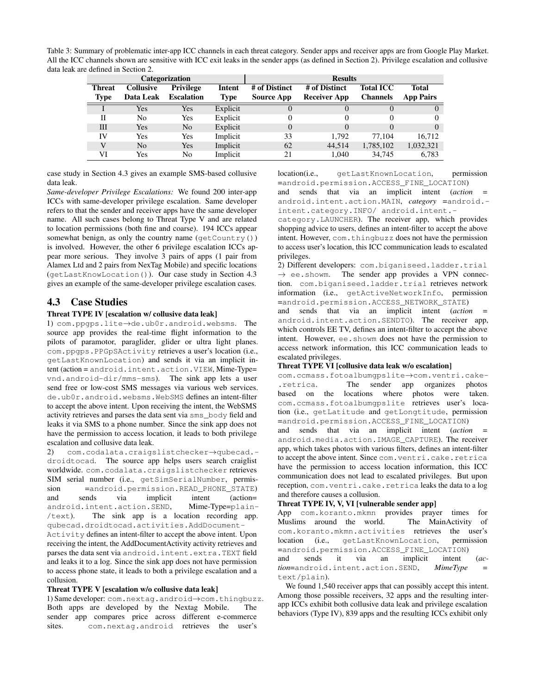Table 3: Summary of problematic inter-app ICC channels in each threat category. Sender apps and receiver apps are from Google Play Market. All the ICC channels shown are sensitive with ICC exit leaks in the sender apps (as defined in Section 2). Privilege escalation and collusive data leak are defined in Section 2.

| Categorization |                  |                   |          | <b>Results</b>    |                     |                  |                  |  |
|----------------|------------------|-------------------|----------|-------------------|---------------------|------------------|------------------|--|
| <b>Threat</b>  | <b>Collusive</b> | <b>Privilege</b>  | Intent   | # of Distinct     | # of Distinct       | <b>Total ICC</b> | Total            |  |
| <b>Type</b>    | Data Leak        | <b>Escalation</b> | Type     | <b>Source App</b> | <b>Receiver App</b> | <b>Channels</b>  | <b>App Pairs</b> |  |
|                | Yes              | Yes               | Explicit | U                 |                     | O                |                  |  |
| Н              | No               | Yes               | Explicit |                   |                     | 0                | 0                |  |
| Ш              | Yes              | No                | Explicit | $\Omega$          | $\theta$            | 0                | $\Omega$         |  |
| IV             | Yes              | Yes               | Implicit | 33                | 1.792               | 77.104           | 16.712           |  |
|                | N <sub>0</sub>   | Yes               | Implicit | 62                | 44.514              | 1,785,102        | 1,032,321        |  |
| VI             | Yes              | No                | Implicit | 21                | 1.040               | 34,745           | 6.783            |  |

case study in Section 4.3 gives an example SMS-based collusive data leak.

*Same-developer Privilege Escalations:* We found 200 inter-app ICCs with same-developer privilege escalation. Same developer refers to that the sender and receiver apps have the same developer name. All such cases belong to Threat Type V and are related to location permissions (both fine and coarse). 194 ICCs appear somewhat benign, as only the country name  $(\text{getCountry}() )$ is involved. However, the other 6 privilege escalation ICCs appear more serious. They involve 3 pairs of apps (1 pair from Alamex Ltd and 2 pairs from NexTag Mobile) and specific locations (getLastKnowLocation()). Our case study in Section 4.3 gives an example of the same-developer privilege escalation cases.

# 4.3 Case Studies

#### Threat TYPE IV [escalation w/ collusive data leak]

1) com.ppgps.lite→de.ub0r.android.websms. The source app provides the real-time flight information to the pilots of paramotor, paraglider, glider or ultra light planes. com.ppgps.PPGpSActivity retrieves a user's location (i.e., getLastKnownLocation) and sends it via an implicit intent (action = android.intent.action.VIEW, Mime-Type= vnd.android-dir/mms-sms). The sink app lets a user send free or low-cost SMS messages via various web services. de.ub0r.android.websms.WebSMS defines an intent-filter to accept the above intent. Upon receiving the intent, the WebSMS activity retrieves and parses the data sent via sms\_body field and leaks it via SMS to a phone number. Since the sink app does not have the permission to access location, it leads to both privilege escalation and collusive data leak.

2) com.codalata.craigslistchecker→qubecad. droidtocad. The source app helps users search craiglist worldwide. com.codalata.craigslistchecker retrieves SIM serial number (i.e., getSimSerialNumber, permission =android.permission.READ\_PHONE\_STATE)<br>and sends via implicit intent (action= and sends via implicit intent (action= android.intent.action.SEND, Mime-Type=plain- /text). The sink app is a location recording app. qubecad.droidtocad.activities.AddDocument-Activity defines an intent-filter to accept the above intent. Upon receiving the intent, the AddDocumentActivity activity retrieves and parses the data sent via android.intent.extra.TEXT field

and leaks it to a log. Since the sink app does not have permission to access phone state, it leads to both a privilege escalation and a collusion.

#### Threat TYPE V [escalation w/o collusive data leak]

1) Same developer: com.nextag.android→com.thingbuzz. Both apps are developed by the Nextag Mobile. The sender app compares price across different e-commerce sites. com.nextag.android retrieves the user's

location(i.e., getLastKnownLocation, permission =android.permission.ACCESS\_FINE\_LOCATION) and sends that via an implicit intent (*action* =

android.intent.action.MAIN, *category* =android. intent.category.INFO/ android.intent.-

category.LAUNCHER). The receiver app, which provides shopping advice to users, defines an intent-filter to accept the above intent. However, com.thingbuzz does not have the permission to access user's location, this ICC communication leads to escalated privileges.

2) Different developers: com.biganiseed.ladder.trial  $\rightarrow$  ee.showm. The sender app provides a VPN connection. com.biganiseed.ladder.trial retrieves network information (i.e., getActiveNetworkInfo, permission =android.permission.ACCESS\_NETWORK\_STATE)

and sends that via an implicit intent (*action* = android.intent.action.SENDTO). The receiver app, which controls EE TV, defines an intent-filter to accept the above intent. However, ee.showm does not have the permission to access network information, this ICC communication leads to escalated privileges.

#### Threat TYPE VI [collusive data leak w/o escalation]

com.ccmass.fotoalbumgpslite→com.ventri.cake- .retrica. The sender app organizes photos based on the locations where photos were taken. com.ccmass.fotoalbumgpslite retrieves user's location (i.e., getLatitude and getLongtitude, permission =android.permission.ACCESS\_FINE\_LOCATION)

and sends that via an implicit intent (action android.media.action.IMAGE\_CAPTURE). The receiver app, which takes photos with various filters, defines an intent-filter to accept the above intent. Since com.ventri.cake.retrica have the permission to access location information, this ICC communication does not lead to escalated privileges. But upon reception, com.ventri.cake.retrica leaks the data to a log and therefore causes a collusion.

#### Threat TYPE IV, V, VI [vulnerable sender app]

App com.koranto.mkmn provides prayer times for Muslims around the world. The MainActivity of com.koranto.mkmn.activities retrieves the user's location (i.e., getLastKnownLocation, permission =android.permission.ACCESS\_FINE\_LOCATION) and sends it via an implicit intent (*action*=android.intent.action.SEND, *MimeType* = text/plain).

We found 1,540 receiver apps that can possibly accept this intent. Among those possible receivers, 32 apps and the resulting interapp ICCs exhibit both collusive data leak and privilege escalation behaviors (Type IV), 839 apps and the resulting ICCs exhibit only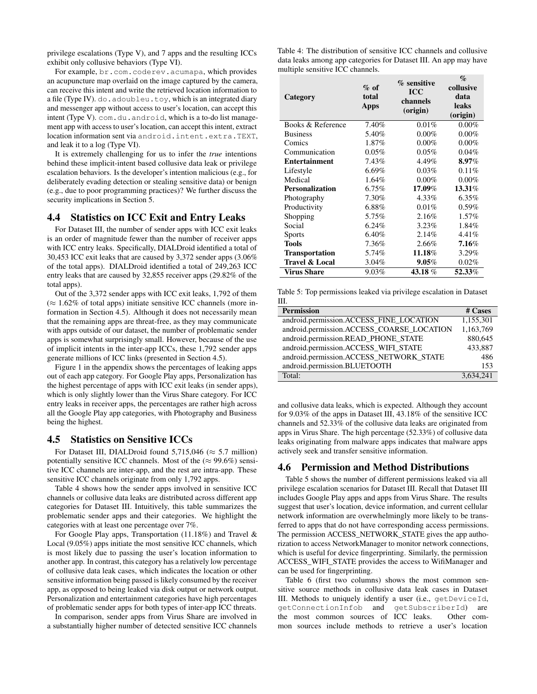privilege escalations (Type V), and 7 apps and the resulting ICCs exhibit only collusive behaviors (Type VI).

For example, br.com.coderev.acumapa, which provides an acupuncture map overlaid on the image captured by the camera, can receive this intent and write the retrieved location information to a file (Type IV). do. adoubleu.toy, which is an integrated diary and messenger app without access to user's location, can accept this intent (Type V). com.du.android, which is a to-do list management app with access to user's location, can accept this intent, extract location information sent via android.intent.extra.TEXT, and leak it to a log (Type VI).

It is extremely challenging for us to infer the *true* intentions behind these implicit-intent based collusive data leak or privilege escalation behaviors. Is the developer's intention malicious (e.g., for deliberately evading detection or stealing sensitive data) or benign (e.g., due to poor programming practices)? We further discuss the security implications in Section 5.

#### 4.4 Statistics on ICC Exit and Entry Leaks

For Dataset III, the number of sender apps with ICC exit leaks is an order of magnitude fewer than the number of receiver apps with ICC entry leaks. Specifically, DIALDroid identified a total of 30,453 ICC exit leaks that are caused by 3,372 sender apps (3.06% of the total apps). DIALDroid identified a total of 249,263 ICC entry leaks that are caused by 32,855 receiver apps (29.82% of the total apps).

Out of the 3,372 sender apps with ICC exit leaks, 1,792 of them  $(\approx 1.62\%$  of total apps) initiate sensitive ICC channels (more information in Section 4.5). Although it does not necessarily mean that the remaining apps are threat-free, as they may communicate with apps outside of our dataset, the number of problematic sender apps is somewhat surprisingly small. However, because of the use of implicit intents in the inter-app ICCs, these 1,792 sender apps generate millions of ICC links (presented in Section 4.5).

Figure 1 in the appendix shows the percentages of leaking apps out of each app category. For Google Play apps, Personalization has the highest percentage of apps with ICC exit leaks (in sender apps), which is only slightly lower than the Virus Share category. For ICC entry leaks in receiver apps, the percentages are rather high across all the Google Play app categories, with Photography and Business being the highest.

#### 4.5 Statistics on Sensitive ICCs

For Dataset III, DIALDroid found 5,715,046 ( $\approx$  5.7 million) potentially sensitive ICC channels. Most of the  $(\approx 99.6\%)$  sensitive ICC channels are inter-app, and the rest are intra-app. These sensitive ICC channels originate from only 1,792 apps.

Table 4 shows how the sender apps involved in sensitive ICC channels or collusive data leaks are distributed across different app categories for Dataset III. Intuitively, this table summarizes the problematic sender apps and their categories. We highlight the categories with at least one percentage over 7%.

For Google Play apps, Transportation (11.18%) and Travel & Local (9.05%) apps initiate the most sensitive ICC channels, which is most likely due to passing the user's location information to another app. In contrast, this category has a relatively low percentage of collusive data leak cases, which indicates the location or other sensitive information being passed is likely consumed by the receiver app, as opposed to being leaked via disk output or network output. Personalization and entertainment categories have high percentages of problematic sender apps for both types of inter-app ICC threats.

In comparison, sender apps from Virus Share are involved in a substantially higher number of detected sensitive ICC channels

Table 4: The distribution of sensitive ICC channels and collusive data leaks among app categories for Dataset III. An app may have multiple sensitive ICC channels.

| Category                  | $%$ of<br>total<br>Apps | % sensitive<br><b>ICC</b><br>channels<br>(origin) | $\%$<br>collusive<br>data<br>leaks<br>(origin) |
|---------------------------|-------------------------|---------------------------------------------------|------------------------------------------------|
| Books & Reference         | 7.40%                   | 0.01%                                             | $0.00\%$                                       |
| <b>Business</b>           | 5.40%                   | $0.00\%$                                          | $0.00\%$                                       |
| Comics                    | 1.87%                   | $0.00\%$                                          | $0.00\%$                                       |
| Communication             | 0.05%                   | 0.05%                                             | 0.04%                                          |
| <b>Entertainment</b>      | 7.43%                   | 4.49%                                             | $8.97\%$                                       |
| Lifestyle                 | $6.69\%$                | 0.03%                                             | 0.11%                                          |
| Medical                   | 1.64%                   | $0.00\%$                                          | $0.00\%$                                       |
| <b>Personalization</b>    | 6.75%                   | 17.09%                                            | 13.31%                                         |
| Photography               | 7.30%                   | 4.33%                                             | $6.35\%$                                       |
| Productivity              | 6.88%                   | 0.01%                                             | $0.59\%$                                       |
| Shopping                  | 5.75%                   | 2.16%                                             | $1.57\%$                                       |
| Social                    | 6.24%                   | $3.23\%$                                          | 1.84%                                          |
| <b>Sports</b>             | 6.40%                   | 2.14%                                             | 4.41%                                          |
| <b>Tools</b>              | 7.36%                   | 2.66%                                             | $7.16\%$                                       |
| <b>Transportation</b>     | 5.74%                   | 11.18%                                            | 3.29%                                          |
| <b>Travel &amp; Local</b> | 3.04%                   | $9.05\%$                                          | 0.02%                                          |
| <b>Virus Share</b>        | 9.03%                   | 43.18%                                            | 52.33%                                         |

Table 5: Top permissions leaked via privilege escalation in Dataset III.

| <b>Permission</b>                         | # Cases   |
|-------------------------------------------|-----------|
| android.permission.ACCESS_FINE_LOCATION   | 1,155,301 |
| android.permission.ACCESS_COARSE_LOCATION | 1,163,769 |
| android.permission.READ_PHONE_STATE       | 880,645   |
| android.permission.ACCESS_WIFI_STATE      | 433,887   |
| android.permission.ACCESS_NETWORK_STATE   | 486       |
| android.permission.BLUETOOTH              | 153       |
| Total:                                    | 3,634,241 |

and collusive data leaks, which is expected. Although they account for 9.03% of the apps in Dataset III, 43.18% of the sensitive ICC channels and 52.33% of the collusive data leaks are originated from apps in Virus Share. The high percentage (52.33%) of collusive data leaks originating from malware apps indicates that malware apps actively seek and transfer sensitive information.

### 4.6 Permission and Method Distributions

Table 5 shows the number of different permissions leaked via all privilege escalation scenarios for Dataset III. Recall that Dataset III includes Google Play apps and apps from Virus Share. The results suggest that user's location, device information, and current cellular network information are overwhelmingly more likely to be transferred to apps that do not have corresponding access permissions. The permission ACCESS\_NETWORK\_STATE gives the app authorization to access NetworkManager to monitor network connections, which is useful for device fingerprinting. Similarly, the permission ACCESS\_WIFI\_STATE provides the access to WifiManager and can be used for fingerprinting.

Table 6 (first two columns) shows the most common sensitive source methods in collusive data leak cases in Dataset III. Methods to uniquely identify a user (i.e., getDeviceId, getConnectionInfob and getSubscriberId) are the most common sources of ICC leaks. Other common sources include methods to retrieve a user's location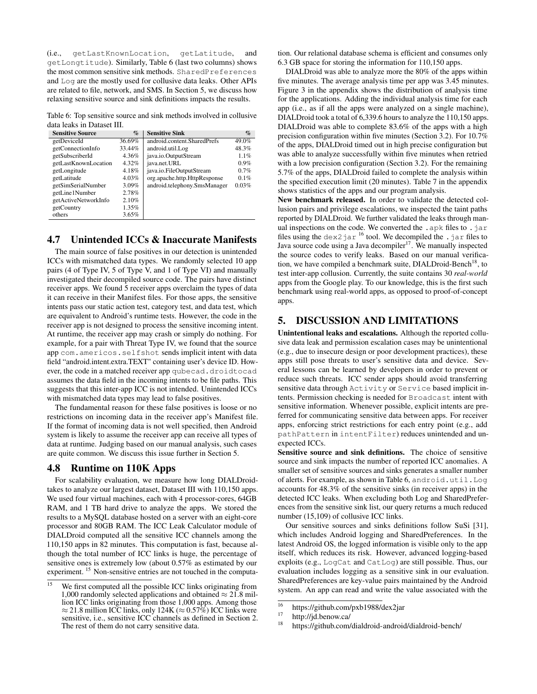(i.e., getLastKnownLocation, getLatitude, and getLongtitude). Similarly, Table 6 (last two columns) shows the most common sensitive sink methods. SharedPreferences and Log are the mostly used for collusive data leaks. Other APIs are related to file, network, and SMS. In Section 5, we discuss how relaxing sensitive source and sink definitions impacts the results.

Table 6: Top sensitive source and sink methods involved in collusive data leaks in Dataset III.

| <b>Sensitive Source</b> | $\%$   | <b>Sensitive Sink</b>        | $\mathcal{G}_0$ |
|-------------------------|--------|------------------------------|-----------------|
| getDeviceId             | 36.69% | android.content.SharedPrefs  | 49.0%           |
| getConnectionInfo       | 33.44% | android.util.Log             | 48.3%           |
| getSubscriberId         | 4.36%  | java.io.OutputStream         | 1.1%            |
| getLastKnownLocation    | 4.32%  | java.net.URL                 | 0.9%            |
| getLongitude            | 4.18%  | java.io.FileOutputStream     | 0.7%            |
| getLatitude             | 4.03%  | org.apache.http.HttpResponse | 0.1%            |
| getSimSerialNumber      | 3.09%  | android.telephony.SmsManager | 0.03%           |
| getLine1Number          | 2.78%  |                              |                 |
| getActiveNetworkInfo    | 2.10%  |                              |                 |
| getCountry              | 1.35%  |                              |                 |
| others                  | 3.65%  |                              |                 |

## 4.7 Unintended ICCs & Inaccurate Manifests

The main source of false positives in our detection is unintended ICCs with mismatched data types. We randomly selected 10 app pairs (4 of Type IV, 5 of Type V, and 1 of Type VI) and manually investigated their decompiled source code. The pairs have distinct receiver apps. We found 5 receiver apps overclaim the types of data it can receive in their Manifest files. For those apps, the sensitive intents pass our static action test, category test, and data test, which are equivalent to Android's runtime tests. However, the code in the receiver app is not designed to process the sensitive incoming intent. At runtime, the receiver app may crash or simply do nothing. For example, for a pair with Threat Type IV, we found that the source app com.americos.selfshot sends implicit intent with data field "android.intent.extra.TEXT" containing user's device ID. However, the code in a matched receiver app qubecad.droidtocad assumes the data field in the incoming intents to be file paths. This suggests that this inter-app ICC is not intended. Unintended ICCs with mismatched data types may lead to false positives.

The fundamental reason for these false positives is loose or no restrictions on incoming data in the receiver app's Manifest file. If the format of incoming data is not well specified, then Android system is likely to assume the receiver app can receive all types of data at runtime. Judging based on our manual analysis, such cases are quite common. We discuss this issue further in Section 5.

#### 4.8 Runtime on 110K Apps

For scalability evaluation, we measure how long DIALDroidtakes to analyze our largest dataset, Dataset III with 110,150 apps. We used four virtual machines, each with 4 processor-cores, 64GB RAM, and 1 TB hard drive to analyze the apps. We stored the results to a MySQL database hosted on a server with an eight-core processor and 80GB RAM. The ICC Leak Calculator module of DIALDroid computed all the sensitive ICC channels among the 110,150 apps in 82 minutes. This computation is fast, because although the total number of ICC links is huge, the percentage of sensitive ones is extremely low (about 0.57% as estimated by our experiment. <sup>15</sup> Non-sensitive entries are not touched in the computation. Our relational database schema is efficient and consumes only 6.3 GB space for storing the information for 110,150 apps.

DIALDroid was able to analyze more the 80% of the apps within five minutes. The average analysis time per app was 3.45 minutes. Figure 3 in the appendix shows the distribution of analysis time for the applications. Adding the individual analysis time for each app (i.e., as if all the apps were analyzed on a single machine), DIALDroid took a total of 6,339.6 hours to analyze the 110,150 apps. DIALDroid was able to complete 83.6% of the apps with a high precision configuration within five minutes (Section 3.2). For 10.7% of the apps, DIALDroid timed out in high precise configuration but was able to analyze successfully within five minutes when retried with a low precision configuration (Section 3.2). For the remaining 5.7% of the apps, DIALDroid failed to complete the analysis within the specified execution limit (20 minutes). Table 7 in the appendix shows statistics of the apps and our program analysis.

New benchmark released. In order to validate the detected collusion pairs and privilege escalations, we inspected the taint paths reported by DIALDroid. We further validated the leaks through manual inspections on the code. We converted the .apk files to .jar files using the dex2 jar <sup>16</sup> tool. We decompiled the . jar files to Java source code using a Java decompiler<sup>17</sup>. We manually inspected the source codes to verify leaks. Based on our manual verification, we have compiled a benchmark suite, DIALDroid-Bench<sup>18</sup>, to test inter-app collusion. Currently, the suite contains 30 *real-world* apps from the Google play. To our knowledge, this is the first such benchmark using real-world apps, as opposed to proof-of-concept apps.

### 5. DISCUSSION AND LIMITATIONS

Unintentional leaks and escalations. Although the reported collusive data leak and permission escalation cases may be unintentional (e.g., due to insecure design or poor development practices), these apps still pose threats to user's sensitive data and device. Several lessons can be learned by developers in order to prevent or reduce such threats. ICC sender apps should avoid transferring sensitive data through Activity or Service based implicit intents. Permission checking is needed for Broadcast intent with sensitive information. Whenever possible, explicit intents are preferred for communicating sensitive data between apps. For receiver apps, enforcing strict restrictions for each entry point (e.g., add pathPattern in intentFilter) reduces unintended and unexpected ICCs.

Sensitive source and sink definitions. The choice of sensitive source and sink impacts the number of reported ICC anomalies. A smaller set of sensitive sources and sinks generates a smaller number of alerts. For example, as shown in Table 6, android.util.Log accounts for 48.3% of the sensitive sinks (in receiver apps) in the detected ICC leaks. When excluding both Log and SharedPreferences from the sensitive sink list, our query returns a much reduced number (15,109) of collusive ICC links.

Our sensitive sources and sinks definitions follow SuSi [31], which includes Android logging and SharedPreferences. In the latest Android OS, the logged information is visible only to the app itself, which reduces its risk. However, advanced logging-based exploits (e.g., LogCat and CatLog) are still possible. Thus, our evaluation includes logging as a sensitive sink in our evaluation. SharedPreferences are key-value pairs maintained by the Android system. An app can read and write the value associated with the

We first computed all the possible ICC links originating from 1,000 randomly selected applications and obtained  $\approx$  21.8 million ICC links originating from those 1,000 apps. Among those  $\approx$  21.8 million ICC links, only 124K ( $\approx$  0.57%) ICC links were sensitive, i.e., sensitive ICC channels as defined in Section 2. The rest of them do not carry sensitive data.

 $\frac{16}{17}$  https://github.com/pxb1988/dex2jar

 $17$  http://jd.benow.ca/

https://github.com/dialdroid-android/dialdroid-bench/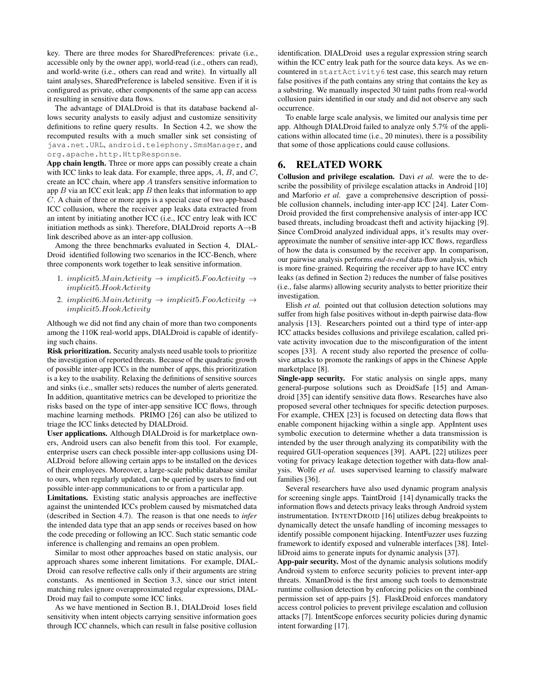key. There are three modes for SharedPreferences: private (i.e., accessible only by the owner app), world-read (i.e., others can read), and world-write (i.e., others can read and write). In virtually all taint analyses, SharedPreference is labeled sensitive. Even if it is configured as private, other components of the same app can access it resulting in sensitive data flows.

The advantage of DIALDroid is that its database backend allows security analysts to easily adjust and customize sensitivity definitions to refine query results. In Section 4.2, we show the recomputed results with a much smaller sink set consisting of java.net.URL, android.telephony.SmsManager, and org.apache.http.HttpResponse.

App chain length. Three or more apps can possibly create a chain with ICC links to leak data. For example, three apps,  $A$ ,  $B$ , and  $C$ , create an ICC chain, where app A transfers sensitive information to app  $B$  via an ICC exit leak; app  $B$  then leaks that information to app C. A chain of three or more apps is a special case of two app-based ICC collusion, where the receiver app leaks data extracted from an intent by initiating another ICC (i.e., ICC entry leak with ICC initiation methods as sink). Therefore, DIALDroid reports A→B link described above as an inter-app collusion.

Among the three benchmarks evaluated in Section 4, DIAL-Droid identified following two scenarios in the ICC-Bench, where three components work together to leak sensitive information.

- 1. implicit5. $MainActivity \rightarrow implicit5.FooActivity \rightarrow$ implicit5.HookActivity
- 2. implicit6.MainActivity  $\rightarrow$  implicit5.FooActivity  $\rightarrow$ implicit5.HookActivity

Although we did not find any chain of more than two components among the 110K real-world apps, DIALDroid is capable of identifying such chains.

Risk prioritization. Security analysts need usable tools to prioritize the investigation of reported threats. Because of the quadratic growth of possible inter-app ICCs in the number of apps, this prioritization is a key to the usability. Relaxing the definitions of sensitive sources and sinks (i.e., smaller sets) reduces the number of alerts generated. In addition, quantitative metrics can be developed to prioritize the risks based on the type of inter-app sensitive ICC flows, through machine learning methods. PRIMO [26] can also be utilized to triage the ICC links detected by DIALDroid.

User applications. Although DIALDroid is for marketplace owners, Android users can also benefit from this tool. For example, enterprise users can check possible inter-app collusions using DI-ALDroid before allowing certain apps to be installed on the devices of their employees. Moreover, a large-scale public database similar to ours, when regularly updated, can be queried by users to find out possible inter-app communications to or from a particular app.

Limitations. Existing static analysis approaches are ineffective against the unintended ICCs problem caused by mismatched data (described in Section 4.7). The reason is that one needs to *infer* the intended data type that an app sends or receives based on how the code preceding or following an ICC. Such static semantic code inference is challenging and remains an open problem.

Similar to most other approaches based on static analysis, our approach shares some inherent limitations. For example, DIAL-Droid can resolve reflective calls only if their arguments are string constants. As mentioned in Section 3.3, since our strict intent matching rules ignore overapproximated regular expressions, DIAL-Droid may fail to compute some ICC links.

As we have mentioned in Section B.1, DIALDroid loses field sensitivity when intent objects carrying sensitive information goes through ICC channels, which can result in false positive collusion identification. DIALDroid uses a regular expression string search within the ICC entry leak path for the source data keys. As we encountered in startActivity6 test case, this search may return false positives if the path contains any string that contains the key as a substring. We manually inspected 30 taint paths from real-world collusion pairs identified in our study and did not observe any such occurrence.

To enable large scale analysis, we limited our analysis time per app. Although DIALDroid failed to analyze only 5.7% of the applications within allocated time (i.e., 20 minutes), there is a possibility that some of those applications could cause collusions.

# 6. RELATED WORK

Collusion and privilege escalation. Davi *et al.* were the to describe the possibility of privilege escalation attacks in Android [10] and Marforio *et al.* gave a comprehensive description of possible collusion channels, including inter-app ICC [24]. Later Com-Droid provided the first comprehensive analysis of inter-app ICC based threats, including broadcast theft and activity hijacking [9]. Since ComDroid analyzed individual apps, it's results may overapproximate the number of sensitive inter-app ICC flows, regardless of how the data is consumed by the receiver app. In comparison, our pairwise analysis performs *end-to-end* data-flow analysis, which is more fine-grained. Requiring the receiver app to have ICC entry leaks (as defined in Section 2) reduces the number of false positives (i.e., false alarms) allowing security analysts to better prioritize their investigation.

Elish *et al.* pointed out that collusion detection solutions may suffer from high false positives without in-depth pairwise data-flow analysis [13]. Researchers pointed out a third type of inter-app ICC attacks besides collusions and privilege escalation, called private activity invocation due to the misconfiguration of the intent scopes [33]. A recent study also reported the presence of collusive attacks to promote the rankings of apps in the Chinese Apple marketplace [8].

Single-app security. For static analysis on single apps, many general-purpose solutions such as DroidSafe [15] and Amandroid [35] can identify sensitive data flows. Researches have also proposed several other techniques for specific detection purposes. For example, CHEX [23] is focused on detecting data flows that enable component hijacking within a single app. AppIntent uses symbolic execution to determine whether a data transmission is intended by the user through analyzing its compatibility with the required GUI-operation sequences [39]. AAPL [22] utilizes peer voting for privacy leakage detection together with data-flow analysis. Wolfe *et al.* uses supervised learning to classify malware families [36].

Several researchers have also used dynamic program analysis for screening single apps. TaintDroid [14] dynamically tracks the information flows and detects privacy leaks through Android system instrumentation. INTENTDROID [16] utilizes debug breakpoints to dynamically detect the unsafe handling of incoming messages to identify possible component hijacking. IntentFuzzer uses fuzzing framework to identify exposed and vulnerable interfaces [38]. IntelliDroid aims to generate inputs for dynamic analysis [37].

App-pair security. Most of the dynamic analysis solutions modify Android system to enforce security policies to prevent inter-app threats. XmanDroid is the first among such tools to demonstrate runtime collusion detection by enforcing policies on the combined permission set of app-pairs [5]. FlaskDroid enforces mandatory access control policies to prevent privilege escalation and collusion attacks [7]. IntentScope enforces security policies during dynamic intent forwarding [17].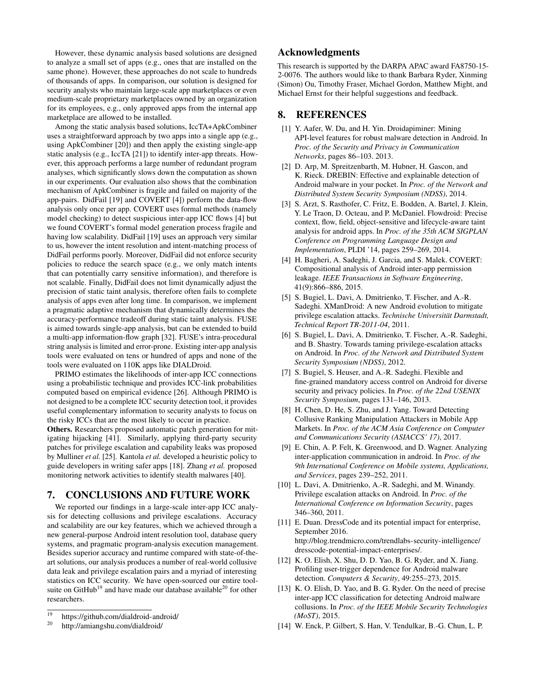However, these dynamic analysis based solutions are designed to analyze a small set of apps (e.g., ones that are installed on the same phone). However, these approaches do not scale to hundreds of thousands of apps. In comparison, our solution is designed for security analysts who maintain large-scale app marketplaces or even medium-scale proprietary marketplaces owned by an organization for its employees, e.g., only approved apps from the internal app marketplace are allowed to be installed.

Among the static analysis based solutions, IccTA+ApkCombiner uses a straightforward approach by two apps into a single app (e.g., using ApkCombiner [20]) and then apply the existing single-app static analysis (e.g., IccTA [21]) to identify inter-app threats. However, this approach performs a large number of redundant program analyses, which significantly slows down the computation as shown in our experiments. Our evaluation also shows that the combination mechanism of ApkCombiner is fragile and failed on majority of the app-pairs. DidFail [19] and COVERT [4]) perform the data-flow analysis only once per app. COVERT uses formal methods (namely model checking) to detect suspicious inter-app ICC flows [4] but we found COVERT's formal model generation process fragile and having low scalability. DidFail [19] uses an approach very similar to us, however the intent resolution and intent-matching process of DidFail performs poorly. Moreover, DidFail did not enforce security policies to reduce the search space (e.g., we only match intents that can potentially carry sensitive information), and therefore is not scalable. Finally, DidFail does not limit dynamically adjust the precision of static taint analysis, therefore often fails to complete analysis of apps even after long time. In comparison, we implement a pragmatic adaptive mechanism that dynamically determines the accuracy-performance tradeoff during static taint analysis. FUSE is aimed towards single-app analysis, but can be extended to build a multi-app information-flow graph [32]. FUSE's intra-procedural string analysis is limited and error-prone. Existing inter-app analysis tools were evaluated on tens or hundred of apps and none of the tools were evaluated on 110K apps like DIALDroid.

PRIMO estimates the likelihoods of inter-app ICC connections using a probabilistic technique and provides ICC-link probabilities computed based on empirical evidence [26]. Although PRIMO is not designed to be a complete ICC security detection tool, it provides useful complementary information to security analysts to focus on the risky ICCs that are the most likely to occur in practice.

Others. Researchers proposed automatic patch generation for mitigating hijacking [41]. Similarly, applying third-party security patches for privilege escalation and capability leaks was proposed by Mulliner *et al.* [25]. Kantola *et al.* developed a heuristic policy to guide developers in writing safer apps [18]. Zhang *et al.* proposed monitoring network activities to identify stealth malwares [40].

## 7. CONCLUSIONS AND FUTURE WORK

We reported our findings in a large-scale inter-app ICC analysis for detecting collusions and privilege escalations. Accuracy and scalability are our key features, which we achieved through a new general-purpose Android intent resolution tool, database query systems, and pragmatic program-analysis execution management. Besides superior accuracy and runtime compared with state-of-theart solutions, our analysis produces a number of real-world collusive data leak and privilege escalation pairs and a myriad of interesting statistics on ICC security. We have open-sourced our entire toolsuite on GitHub<sup>19</sup> and have made our database available<sup>20</sup> for other researchers.

# Acknowledgments

This research is supported by the DARPA APAC award FA8750-15- 2-0076. The authors would like to thank Barbara Ryder, Xinming (Simon) Ou, Timothy Fraser, Michael Gordon, Matthew Might, and Michael Ernst for their helpful suggestions and feedback.

## 8. REFERENCES

- [1] Y. Aafer, W. Du, and H. Yin. Droidapiminer: Mining API-level features for robust malware detection in Android. In *Proc. of the Security and Privacy in Communication Networks*, pages 86–103. 2013.
- [2] D. Arp, M. Spreitzenbarth, M. Hubner, H. Gascon, and K. Rieck. DREBIN: Effective and explainable detection of Android malware in your pocket. In *Proc. of the Network and Distributed System Security Symposium (NDSS)*, 2014.
- [3] S. Arzt, S. Rasthofer, C. Fritz, E. Bodden, A. Bartel, J. Klein, Y. Le Traon, D. Octeau, and P. McDaniel. Flowdroid: Precise context, flow, field, object-sensitive and lifecycle-aware taint analysis for android apps. In *Proc. of the 35th ACM SIGPLAN Conference on Programming Language Design and Implementation*, PLDI '14, pages 259–269, 2014.
- [4] H. Bagheri, A. Sadeghi, J. Garcia, and S. Malek. COVERT: Compositional analysis of Android inter-app permission leakage. *IEEE Transactions in Software Engineering*, 41(9):866–886, 2015.
- [5] S. Bugiel, L. Davi, A. Dmitrienko, T. Fischer, and A.-R. Sadeghi. XManDroid: A new Android evolution to mitigate privilege escalation attacks. *Technische Universität Darmstadt, Technical Report TR-2011-04*, 2011.
- [6] S. Bugiel, L. Davi, A. Dmitrienko, T. Fischer, A.-R. Sadeghi, and B. Shastry. Towards taming privilege-escalation attacks on Android. In *Proc. of the Network and Distributed System Security Symposium (NDSS)*, 2012.
- [7] S. Bugiel, S. Heuser, and A.-R. Sadeghi. Flexible and fine-grained mandatory access control on Android for diverse security and privacy policies. In *Proc. of the 22nd USENIX Security Symposium*, pages 131–146, 2013.
- [8] H. Chen, D. He, S. Zhu, and J. Yang. Toward Detecting Collusive Ranking Manipulation Attackers in Mobile App Markets. In *Proc. of the ACM Asia Conference on Computer and Communications Security (ASIACCS' 17)*, 2017.
- [9] E. Chin, A. P. Felt, K. Greenwood, and D. Wagner. Analyzing inter-application communication in android. In *Proc. of the 9th International Conference on Mobile systems, Applications, and Services*, pages 239–252, 2011.
- [10] L. Davi, A. Dmitrienko, A.-R. Sadeghi, and M. Winandy. Privilege escalation attacks on Android. In *Proc. of the International Conference on Information Security*, pages 346–360, 2011.
- [11] E. Duan. DressCode and its potential impact for enterprise, September 2016. http://blog.trendmicro.com/trendlabs-security-intelligence/ dresscode-potential-impact-enterprises/.
- [12] K. O. Elish, X. Shu, D. D. Yao, B. G. Ryder, and X. Jiang. Profiling user-trigger dependence for Android malware detection. *Computers & Security*, 49:255–273, 2015.
- [13] K. O. Elish, D. Yao, and B. G. Ryder. On the need of precise inter-app ICC classification for detecting Android malware collusions. In *Proc. of the IEEE Mobile Security Technologies (MoST)*, 2015.
- [14] W. Enck, P. Gilbert, S. Han, V. Tendulkar, B.-G. Chun, L. P.

 $\frac{19}{20}$  https://github.com/dialdroid-android/

http://amiangshu.com/dialdroid/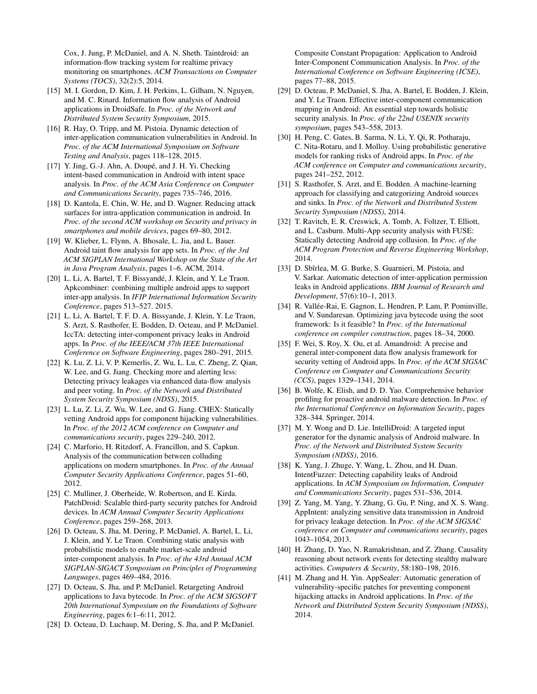Cox, J. Jung, P. McDaniel, and A. N. Sheth. Taintdroid: an information-flow tracking system for realtime privacy monitoring on smartphones. *ACM Transactions on Computer Systems (TOCS)*, 32(2):5, 2014.

- [15] M. I. Gordon, D. Kim, J. H. Perkins, L. Gilham, N. Nguyen, and M. C. Rinard. Information flow analysis of Android applications in DroidSafe. In *Proc. of the Network and Distributed System Security Symposium*, 2015.
- [16] R. Hay, O. Tripp, and M. Pistoia. Dynamic detection of inter-application communication vulnerabilities in Android. In *Proc. of the ACM International Symposium on Software Testing and Analysis*, pages 118–128, 2015.
- [17] Y. Jing, G.-J. Ahn, A. Doupé, and J. H. Yi. Checking intent-based communication in Android with intent space analysis. In *Proc. of the ACM Asia Conference on Computer and Communications Security*, pages 735–746, 2016.
- [18] D. Kantola, E. Chin, W. He, and D. Wagner. Reducing attack surfaces for intra-application communication in android. In *Proc. of the second ACM workshop on Security and privacy in smartphones and mobile devices*, pages 69–80, 2012.
- [19] W. Klieber, L. Flynn, A. Bhosale, L. Jia, and L. Bauer. Android taint flow analysis for app sets. In *Proc. of the 3rd ACM SIGPLAN International Workshop on the State of the Art in Java Program Analysis*, pages 1–6. ACM, 2014.
- [20] L. Li, A. Bartel, T. F. Bissyandé, J. Klein, and Y. Le Traon. Apkcombiner: combining multiple android apps to support inter-app analysis. In *IFIP International Information Security Conference*, pages 513–527. 2015.
- [21] L. Li, A. Bartel, T. F. D. A. Bissyande, J. Klein, Y. Le Traon, S. Arzt, S. Rasthofer, E. Bodden, D. Octeau, and P. McDaniel. IccTA: detecting inter-component privacy leaks in Android apps. In *Proc. of the IEEE/ACM 37th IEEE International Conference on Software Engineering*, pages 280–291, 2015.
- [22] K. Lu, Z. Li, V. P. Kemerlis, Z. Wu, L. Lu, C. Zheng, Z. Qian, W. Lee, and G. Jiang. Checking more and alerting less: Detecting privacy leakages via enhanced data-flow analysis and peer voting. In *Proc. of the Network and Distributed System Security Symposium (NDSS)*, 2015.
- [23] L. Lu, Z. Li, Z. Wu, W. Lee, and G. Jiang. CHEX: Statically vetting Android apps for component hijacking vulnerabilities. In *Proc. of the 2012 ACM conference on Computer and communications security*, pages 229–240, 2012.
- [24] C. Marforio, H. Ritzdorf, A. Francillon, and S. Capkun. Analysis of the communication between colluding applications on modern smartphones. In *Proc. of the Annual Computer Security Applications Conference*, pages 51–60, 2012.
- [25] C. Mulliner, J. Oberheide, W. Robertson, and E. Kirda. PatchDroid: Scalable third-party security patches for Android devices. In *ACM Annual Computer Security Applications Conference*, pages 259–268, 2013.
- [26] D. Octeau, S. Jha, M. Dering, P. McDaniel, A. Bartel, L. Li, J. Klein, and Y. Le Traon. Combining static analysis with probabilistic models to enable market-scale android inter-component analysis. In *Proc. of the 43rd Annual ACM SIGPLAN-SIGACT Symposium on Principles of Programming Languages*, pages 469–484, 2016.
- [27] D. Octeau, S. Jha, and P. McDaniel. Retargeting Android applications to Java bytecode. In *Proc. of the ACM SIGSOFT 20th International Symposium on the Foundations of Software Engineering*, pages 6:1–6:11, 2012.
- [28] D. Octeau, D. Luchaup, M. Dering, S. Jha, and P. McDaniel.

Composite Constant Propagation: Application to Android Inter-Component Communication Analysis. In *Proc. of the International Conference on Software Engineering (ICSE)*, pages 77–88, 2015.

- [29] D. Octeau, P. McDaniel, S. Jha, A. Bartel, E. Bodden, J. Klein, and Y. Le Traon. Effective inter-component communication mapping in Android: An essential step towards holistic security analysis. In *Proc. of the 22nd USENIX security symposium*, pages 543–558, 2013.
- [30] H. Peng, C. Gates, B. Sarma, N. Li, Y. Qi, R. Potharaju, C. Nita-Rotaru, and I. Molloy. Using probabilistic generative models for ranking risks of Android apps. In *Proc. of the ACM conference on Computer and communications security*, pages 241–252, 2012.
- [31] S. Rasthofer, S. Arzt, and E. Bodden. A machine-learning approach for classifying and categorizing Android sources and sinks. In *Proc. of the Network and Distributed System Security Symposium (NDSS)*, 2014.
- [32] T. Ravitch, E. R. Creswick, A. Tomb, A. Foltzer, T. Elliott, and L. Casburn. Multi-App security analysis with FUSE: Statically detecting Android app collusion. In *Proc. of the ACM Program Protection and Reverse Engineering Workshop*, 2014.
- [33] D. Sbîrlea, M. G. Burke, S. Guarnieri, M. Pistoia, and V. Sarkar. Automatic detection of inter-application permission leaks in Android applications. *IBM Journal of Research and Development*, 57(6):10–1, 2013.
- [34] R. Vallée-Rai, E. Gagnon, L. Hendren, P. Lam, P. Pominville, and V. Sundaresan. Optimizing java bytecode using the soot framework: Is it feasible? In *Proc. of the International conference on compiler construction*, pages 18–34, 2000.
- [35] F. Wei, S. Roy, X. Ou, et al. Amandroid: A precise and general inter-component data flow analysis framework for security vetting of Android apps. In *Proc. of the ACM SIGSAC Conference on Computer and Communications Security (CCS)*, pages 1329–1341, 2014.
- [36] B. Wolfe, K. Elish, and D. D. Yao. Comprehensive behavior profiling for proactive android malware detection. In *Proc. of the International Conference on Information Security*, pages 328–344. Springer, 2014.
- [37] M. Y. Wong and D. Lie. IntelliDroid: A targeted input generator for the dynamic analysis of Android malware. In *Proc. of the Network and Distributed System Security Symposium (NDSS)*, 2016.
- [38] K. Yang, J. Zhuge, Y. Wang, L. Zhou, and H. Duan. IntentFuzzer: Detecting capability leaks of Android applications. In *ACM Symposium on Information, Computer and Communications Security*, pages 531–536, 2014.
- [39] Z. Yang, M. Yang, Y. Zhang, G. Gu, P. Ning, and X. S. Wang. AppIntent: analyzing sensitive data transmission in Android for privacy leakage detection. In *Proc. of the ACM SIGSAC conference on Computer and communications security*, pages 1043–1054, 2013.
- [40] H. Zhang, D. Yao, N. Ramakrishnan, and Z. Zhang. Causality reasoning about network events for detecting stealthy malware activities. *Computers & Security*, 58:180–198, 2016.
- [41] M. Zhang and H. Yin. AppSealer: Automatic generation of vulnerability-specific patches for preventing component hijacking attacks in Android applications. In *Proc. of the Network and Distributed System Security Symposium (NDSS)*, 2014.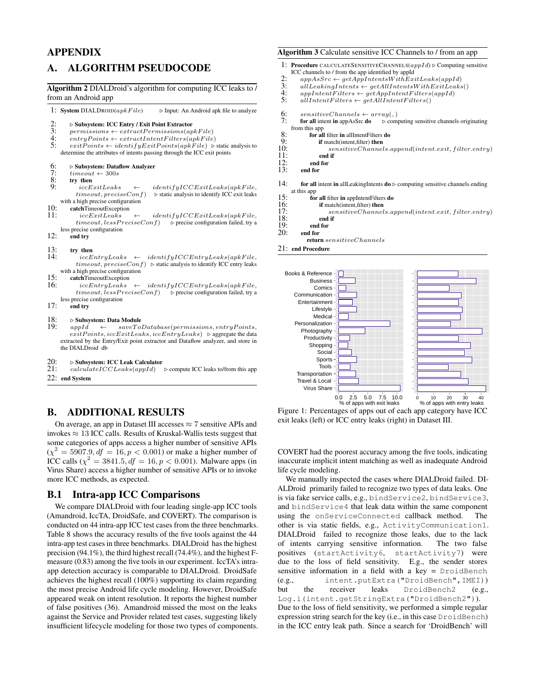# APPENDIX

# A. ALGORITHM PSEUDOCODE

#### Algorithm 2 DIALDroid's algorithm for computing ICC leaks to / from an Android app

1: System DIALDROID( $apkFile$ )  $\rightarrow$  Input: An Android apk file to analyze

- 2:  $\sum_{\text{permissions}}$   $\sum_{\text{ertransions}}$   $\sum_{\text{ertract permission}}$
- 3: permissions ← extractPermissions(apkFile)<br>4: entruPoints ← extractIntentFilters(ankFile
- 4:  $\text{entry Points} \leftarrow \text{extract} \text{Internet Filters}(\text{apkFile})$ <br>5:  $\text{exitPoints} \leftarrow \text{identifyExitPoints}(\text{apkFile})$
- $exitPoints \leftarrow identityExitPoints(apkFile)$   $\triangleright$  static analysis to determine the attributes of intents passing through the ICC exit points
- 6:  $\Rightarrow$  Subsystem: Dataflow Analyzer<br>7:  $timeout \leftarrow 300s$
- 7:  $timeout \leftarrow 300s$ <br>8: **try then**<br>9:  $iccEritLeaks$
- 

try then<br> $iccExitLeaks$ 9: iccExitLeaks ← identifyICCExitLeaks(apkF ile,  $\triangleright$  static analysis to identify ICC exit leaks with a high precise configuration

- 10: catchTimeoutException<br>11:  $iccExitLeaks$
- $identityICCExitLeaks(apkFile,$  $timeout, less PreciseConf)$   $\rightarrow$  precise configuration failed, try a less precise configuration
- 12: end try
- 
- 13: try then<br>14:  $icchtryLeaks \leftarrow$  $identityICCEntryLeaks(apkFile,$  $timeout, preciseConf)$   $\triangleright$  static analysis to identify ICC entry leaks with a high precise configuration
- 15: **catchTimeoutException**<br>16:  $iccEntruleaks$
- $iccEntryLeaks \leftarrow identityICCEntryLeaks(apkFile,$  $\label{eq:timeout} timeout, \emph{less} PreciseConf) \quad \mbox{$\triangleright$ precise configuration failed, try a}$ less precise configuration
- 17: end try
- 18:  $\Rightarrow$  Subsystem: Data Module<br>19:  $appId \leftarrow$   $saveTo$

 $\leftarrow$  saveToDatabase(permissions, entryPoints,  $exitPoints, iccExitLeaks, iccEntryLeaks)$   $\triangleright$  aggregate the data extracted by the Entry/Exit point extractor and Dataflow analyzer, and store in the DIALDroid db

- 20: . Subsystem: ICC Leak Calculator
- 21: calculateICCLeaks(appId) . compute ICC leaks to/from this app 22: end System

# B. ADDITIONAL RESULTS

On average, an app in Dataset III accesses  $\approx$  7 sensitive APIs and invokes  $\approx 13$  ICC calls. Results of Kruskal-Wallis tests suggest that some categories of apps access a higher number of sensitive APIs  $(\chi^2 = 5907.9, df = 16, p < 0.001)$  or make a higher number of ICC calls ( $\chi^2 = 3841.5, df = 16, p < 0.001$ ). Malware apps (in Virus Share) access a higher number of sensitive APIs or to invoke more ICC methods, as expected.

# B.1 Intra-app ICC Comparisons

We compare DIALDroid with four leading single-app ICC tools (Amandroid, IccTA, DroidSafe, and COVERT). The comparison is conducted on 44 intra-app ICC test cases from the three benchmarks. Table 8 shows the accuracy results of the five tools against the 44 intra-app test cases in three benchmarks. DIALDroid has the highest precision (94.1%), the third highest recall (74.4%), and the highest Fmeasure (0.83) among the five tools in our experiment. IccTA's intraapp detection accuracy is comparable to DIALDroid. DroidSafe achieves the highest recall (100%) supporting its claim regarding the most precise Android life cycle modeling. However, DroidSafe appeared weak on intent resolution. It reports the highest number of false positives (36). Amandroid missed the most on the leaks against the Service and Provider related test cases, suggesting likely insufficient lifecycle modeling for those two types of components.

#### Algorithm 3 Calculate sensitive ICC Channels to / from an app

- 1: Procedure CALCULATESENSITIVECHANNELS $(appId)$   $\triangleright$  Computing sensitive ICC channels to / from the app identified by appId
- 2:  $appAsSrc \leftarrow getAppIntentsWithExitLeaks(appld)$ <br>3: all Leaking Intents  $\leftarrow$  get All Intents With Exit Leaks
- 3:  $allLeaking Intents \leftarrow getAllIntentsWithExitLeaks()$ <br>4:  $appIntent Filters \leftarrow getAppIntent Filters(appd)$
- 4: appIntentFilters  $\leftarrow$  getAppIntentFilters(appId)<br>5: allIntentFilters  $\leftarrow$  getAllIntentFilters()
- $\label{eq:1} all Intent Filters \gets getAllIntentFilters()$
- 
- 6: sensitiveChannels  $\leftarrow array($ ,<br>7: **for all** intent **in** appAsSrc **do**  $\triangleright$  com for all intent in appAsSrc do  $\Rightarrow$   $\triangleright$  computing sensitive channels originating from this app
- 8: for all filter in all intent Filters do<br>9: if match(intent filter) then
- 9: **if** match(intent, filter) **then**<br>10:  $sensitiveChannel$
- 10: sensitiveChannels.append(intent.exit, filter.entry)<br>11: end if
- $11:$  end if  $12:$  end for
- 12: end for<br>13: end for end for
- 
- 14: for all intent in all Leaking Intents  $d\omega \triangleright$  computing sensitive channels ending at this app
- 15: for all filter in appIntentFilters do 16: if match(intent, filter) then
- 16: if match(intent, filter) then<br>17: sensitiveChannel
- 17: sensitiveChannels.append(intent.exit, filter.entry)<br>18: end if
- $\begin{array}{cc} 18: & \text{end if} \\ 19: & \text{end for} \end{array}$
- 19: end for end for
	- return sensitiveChannels

21: end Procedure







COVERT had the poorest accuracy among the five tools, indicating inaccurate implicit intent matching as well as inadequate Android life cycle modeling.

We manually inspected the cases where DIALDroid failed. DI-ALDroid primarily failed to recognize two types of data leaks. One is via fake service calls, e.g., bindService2, bindService3, and bindService4 that leak data within the same component using the onServiceConnected callback method. The other is via static fields, e.g., ActivityCommunication1. DIALDroid failed to recognize those leaks, due to the lack of intents carrying sensitive information. The two false positives (startActivity6, startActivity7) were due to the loss of field sensitivity. E.g., the sender stores sensitive information in a field with a key  $=$  DroidBench (e.g., intent.putExtra("DroidBench",IMEI)) but the receiver leaks DroidBench2 (e.g., Log.i(intent.getStringExtra("DroidBench2")). Due to the loss of field sensitivity, we performed a simple regular expression string search for the key (i.e., in this case DroidBench) in the ICC entry leak path. Since a search for 'DroidBench' will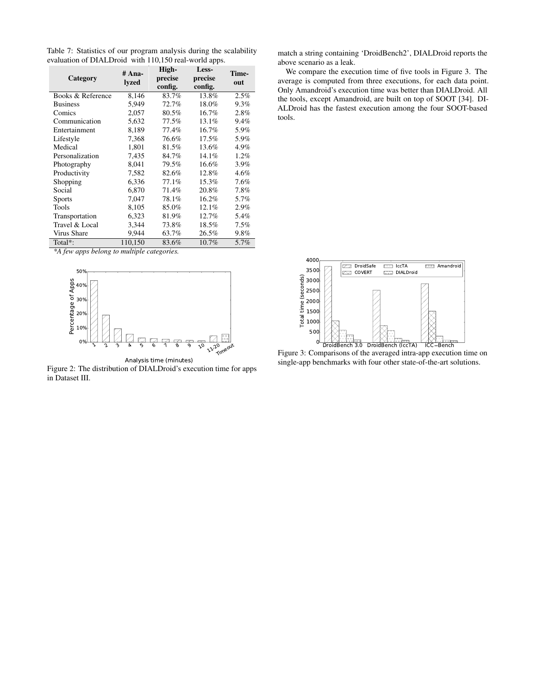Table 7: Statistics of our program analysis during the scalability evaluation of DIALDroid with 110,150 real-world apps.

| Category          | # Ana-<br>lyzed | High-<br>precise<br>config. | Less-<br>precise<br>config. | Time-<br>out |
|-------------------|-----------------|-----------------------------|-----------------------------|--------------|
| Books & Reference | 8,146           | 83.7%                       | 13.8%                       | 2.5%         |
| <b>Business</b>   | 5,949           | 72.7%                       | 18.0%                       | $9.3\%$      |
| Comics            | 2,057           | 80.5%                       | 16.7%                       | 2.8%         |
| Communication     | 5,632           | 77.5%                       | 13.1%                       | 9.4%         |
| Entertainment     | 8,189           | 77.4%                       | 16.7%                       | 5.9%         |
| Lifestyle         | 7.368           | 76.6%                       | $17.5\%$                    | 5.9%         |
| Medical           | 1,801           | 81.5%                       | 13.6%                       | 4.9%         |
| Personalization   | 7,435           | 84.7%                       | 14.1%                       | 1.2%         |
| Photography       | 8,041           | 79.5%                       | 16.6%                       | 3.9%         |
| Productivity      | 7,582           | 82.6%                       | 12.8%                       | 4.6%         |
| Shopping          | 6,336           | 77.1%                       | 15.3%                       | 7.6%         |
| Social            | 6,870           | 71.4%                       | 20.8%                       | 7.8%         |
| <b>Sports</b>     | 7,047           | 78.1%                       | 16.2%                       | 5.7%         |
| Tools             | 8,105           | 85.0%                       | 12.1%                       | 2.9%         |
| Transportation    | 6,323           | 81.9%                       | 12.7%                       | 5.4%         |
| Travel & Local    | 3,344           | 73.8%                       | 18.5%                       | 7.5%         |
| Virus Share       | 9,944           | 63.7%                       | 26.5%                       | 9.8%         |
| Total*:           | 110,150         | 83.6%                       | 10.7%                       | 5.7%         |

*\*A few apps belong to multiple categories.*



Analysis time (minutes)

Figure 2: The distribution of DIALDroid's execution time for apps in Dataset III.

match a string containing 'DroidBench2', DIALDroid reports the above scenario as a leak.

We compare the execution time of five tools in Figure 3. The average is computed from three executions, for each data point. Only Amandroid's execution time was better than DIALDroid. All the tools, except Amandroid, are built on top of SOOT [34]. DI-ALDroid has the fastest execution among the four SOOT-based tools.



Figure 3: Comparisons of the averaged intra-app execution time on single-app benchmarks with four other state-of-the-art solutions.